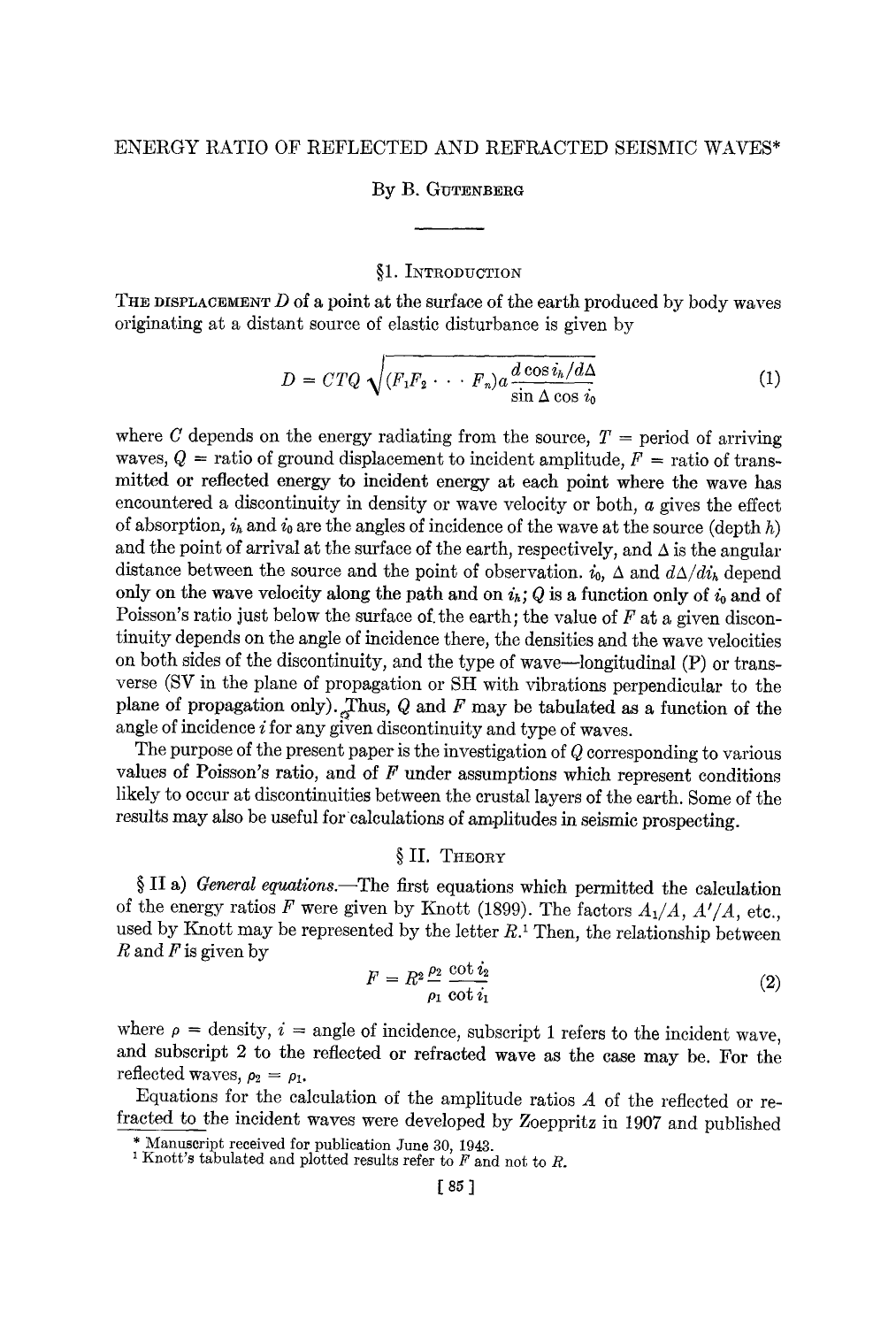## **By B. GUTENBERG**

# §1. INTRODUCTION

THE DISPLACEMENT  $D$  of a point at the surface of the earth produced by body waves originating at a distant source of elastic disturbance is given by

$$
D = C T Q \sqrt{(F_1 F_2 \cdots F_n) a \frac{d \cos i_h / d\Delta}{\sin \Delta \cos i_0}}
$$
 (1)

where C depends on the energy radiating from the source,  $T =$  period of arriving waves,  $Q =$  ratio of ground displacement to incident amplitude,  $F =$  ratio of transmitted or reflected energy to incident energy at each point where the wave has encountered a discontinuity in density or wave velocity or both, a gives the effect of absorption,  $i_h$  and  $i_0$  are the angles of incidence of the wave at the source (depth h) and the point of arrival at the surface of the earth, respectively, and  $\Delta$  is the angular distance between the source and the point of observation,  $i_0$ ,  $\Delta$  and  $d\Delta/di_k$  depend only on the wave velocity along the path and on  $i_h$ ; Q is a function only of  $i_0$  and of Poisson's ratio just below the surface of the earth; the value of  $F$  at a given discontinuity depends on the angle of incidence there, the densities and the wave velocities on both sides of the discontinuity, and the type of wave--longitudinal (P) or transverse (SV in the plane of propagation or SH with vibrations perpendicular to the plane of propagation only). Thus, Q and F may be tabulated as a function of the angle of incidence *i* for any given discontinuity and type of waves.

The purpose of the present paper is the investigation of  $Q$  corresponding to various values of Poisson's ratio, and of  $F$  under assumptions which represent conditions likely to occur at discontinuities between the crustal layers of the earth. Some of the results may also be useful for calculations of amplitudes in seismic prospecting.

# § II. THEORY

§ II a) *General equations.*—The first equations which permitted the calculation of the energy ratios  $F$  were given by Knott (1899). The factors  $A_1/A$ ,  $A'/A$ , etc., used by Knott may be represented by the letter  $R<sup>1</sup>$  Then, the relationship between R and F is given by

$$
F = R^2 \frac{\rho_2}{\rho_1} \frac{\cot i_2}{\cot i_1} \tag{2}
$$

where  $\rho =$  density,  $i =$  angle of incidence, subscript 1 refers to the incident wave, and subscript 2 to the reflected or refracted wave as the case may be. For the reflected waves,  $\rho_2 = \rho_1$ .

Equations for the calculation of the amplitude ratios A of the reflected or refracted to the incident waves were developed by Zoeppritz in 1907 and published

<sup>\*</sup> Manuscript received for publication June 30, 1943.

<sup>&</sup>lt;sup>1</sup> Knott's tabulated and plotted results refer to  $F$  and not to  $R$ .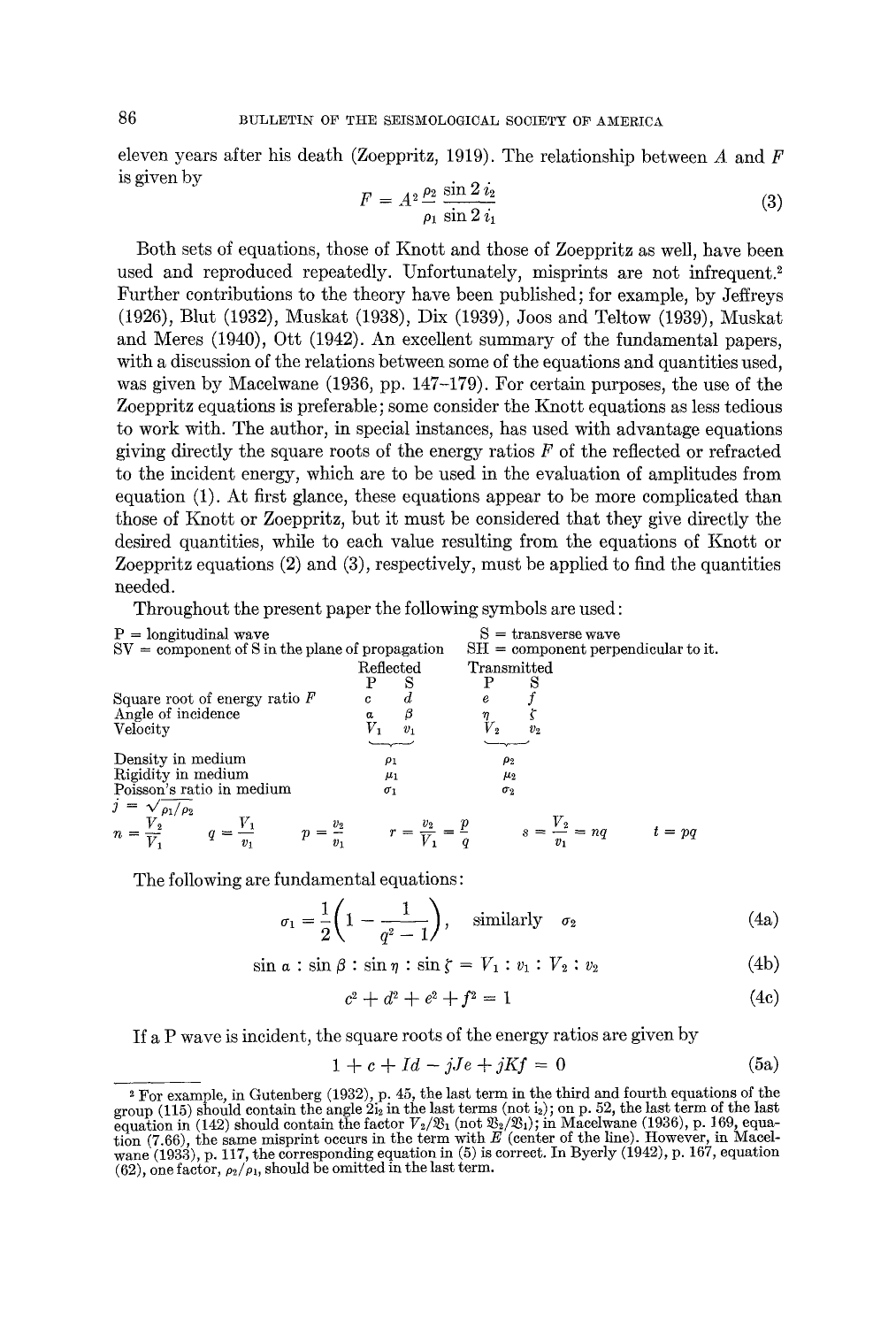eleven years after his death (Zoeppritz, 1919). The relationship between  $A$  and  $F$ is given by

$$
F = A^2 \frac{\rho_2}{\rho_1} \frac{\sin 2 i_2}{\sin 2 i_1}
$$
 (3)

Both sets of equations, those of Knott and those of Zoeppritz as well, have been used and reproduced repeatedly. Unfortunately, misprints are not infrequent.<sup>2</sup> Further contributions to the theory have been published; for example, by Jeffreys (1926), Blut (1932), Muskat (1938), Dix (1939), Joos and Teltow (1939), Muskat and Meres (1940), Ott (1942). An excellent summary of the fundamental papers, with a discussion of the relations between some of the equations and quantities used, was given by Macelwane (1936, pp. 147-179). For certain purposes, the use of the Zoeppritz equations is preferable; some consider the Knott equations as less tedious to work with. The author, in special instances, has used with advantage equations giving directly the square roots of the energy ratios  $F$  of the reflected or refracted to the incident energy, which are to be used in the evaluation of amplitudes from equation (1). At first glance, these equations appear to be more complicated than those of Knott or Zoeppritz, but it must be considered that they give directly the desired quantities, while to each value resulting from the equations of Knott or Zoeppritz equations (2) and (3), respectively, must be applied to find the quantities needed.

Throughout the present paper the following symbols are used:

| P = longitudinal wave                           | S = transverse wave                 |                       |                                     |                            |          |
|-------------------------------------------------|-------------------------------------|-----------------------|-------------------------------------|----------------------------|----------|
| SV = component of S in the plane of propagation | SH = component perpendicular to it. |                       |                                     |                            |          |
| Sequence root of energy ratio $F$               | c                                   | d                     | e                                   |                            |          |
| Square root of energy ratio $F$                 | c                                   | d                     | e                                   |                            |          |
| Angle of incidence                              | $\alpha$                            | $\beta$               | $\eta$                              | $\zeta$                    |          |
| Velocity in medium                              | $\rho_1$                            | $\rho_2$              |                                     |                            |          |
| Density in medium                               | $\rho_1$                            | $\rho_2$              |                                     |                            |          |
| Poisson's ratio in medium                       | $\rho_1$                            | $\rho_2$              |                                     |                            |          |
| $j = \sqrt{\rho_1/\rho_2}$                      | $q = \frac{V_1}{v_1}$               | $p = \frac{v_2}{v_1}$ | $r = \frac{v_2}{V_1} = \frac{p}{q}$ | $s = \frac{V_2}{v_1} = nq$ | $t = pq$ |

The following are fundamental equations:

$$
\sigma_1 = \frac{1}{2} \left( 1 - \frac{1}{q^2 - 1} \right), \quad \text{similarly} \quad \sigma_2 \tag{4a}
$$

 $\sin a: \sin \beta: \sin \eta: \sin \zeta = V_1: v_1: V_2: v_2$  (4b)

$$
c^2 + d^2 + e^2 + f^2 = 1 \tag{4c}
$$

If a P wave is incident, the square roots of the energy ratios are given by

$$
1 + c + Id - jJe + jKf = 0 \tag{5a}
$$

<sup>&</sup>lt;sup>2</sup> For example, in Gutenberg (1932), p. 45, the last term in the third and fourth equations of the group (115) should contain the angle  $2i_2$  in the last terms (not  $i_2$ ); on p. 52, the last term of the last equation in (142) should contain the factor  $V_2/\mathfrak{B}_1$  (not  $\mathfrak{B}_2/\mathfrak{B}_1$ ); in Macelwane (1936), p. 169, equation (7.66), the same misprint occurs in the term with E (center of the line). However, in Macelwane (1933), p. 117, the corresponding equation in (5) is correct. In Byerly (1942), p. 167, equation (62), one factor,  $\rho_2/\rho_1$ , should be omitted in the last term.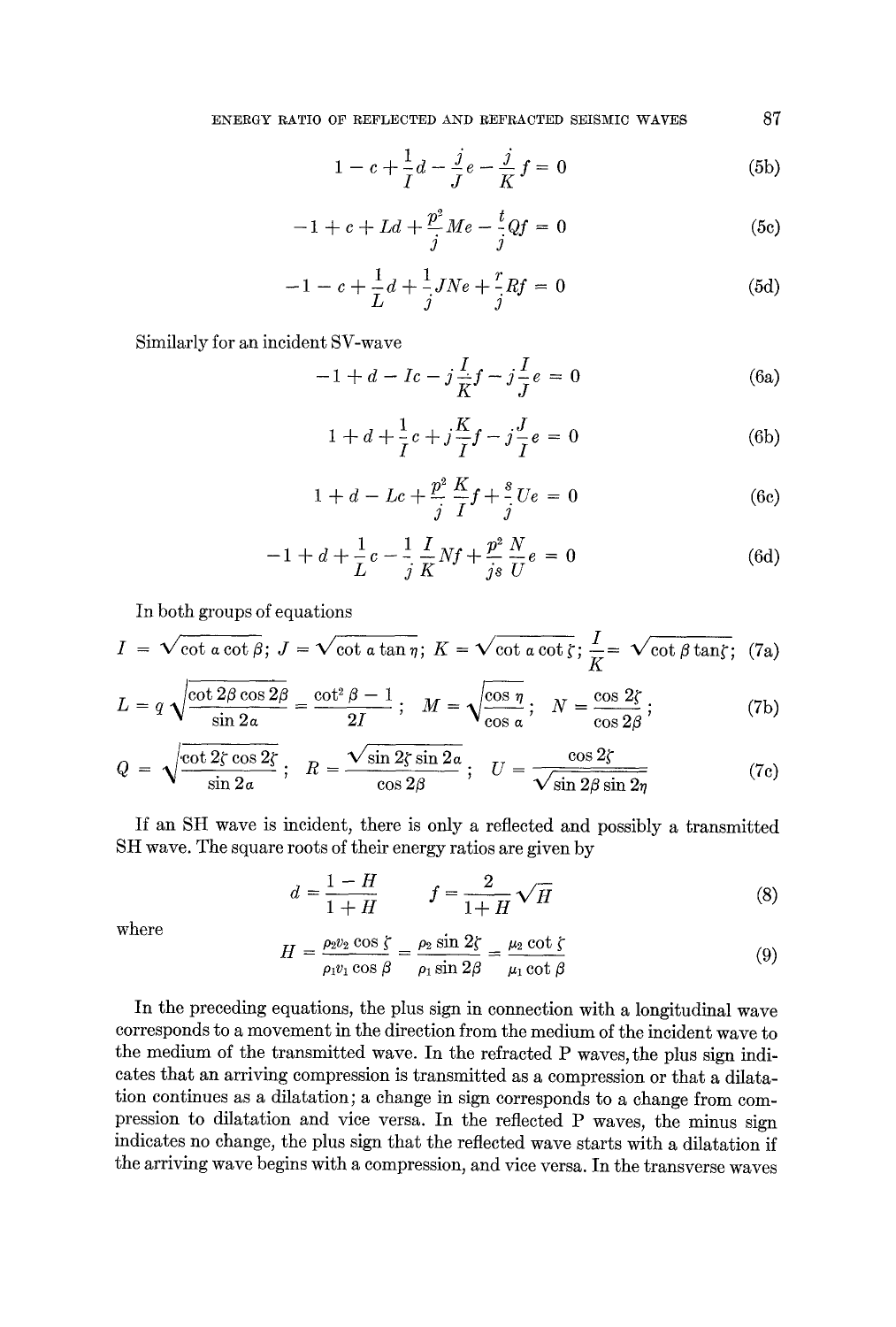$$
1 - c + \frac{1}{I}d - \frac{j}{J}e - \frac{j}{K}f = 0
$$
 (5b)

$$
-1 + c + Ld + \frac{p^2}{j}Me - \frac{t}{j}Qf = 0
$$
 (5c)

$$
-1 - c + \frac{1}{L}d + \frac{1}{j}JNe + \frac{r}{j}Rf = 0
$$
 (5d)

Similarly for an incident SV-wave

$$
-1 + d - Ic - j\frac{I}{K}f - j\frac{I}{J}e = 0
$$
 (6a)

$$
1 + d + \frac{1}{I}c + j\frac{K}{I}f - j\frac{J}{I}e = 0
$$
 (6b)

$$
1 + d - Lc + \frac{p^2}{j} \frac{K}{I} f + \frac{s}{j} Ue = 0
$$
 (6c)

$$
-1 + d + \frac{1}{L}c - \frac{1}{j}\frac{I}{K}Nf + \frac{p^2}{js}\frac{N}{U}e = 0
$$
 (6d)

In both groups of equations

$$
I = \sqrt{\cot a \cot \beta}; J = \sqrt{\cot a \tan \eta}; K = \sqrt{\cot a \cot \zeta}; \frac{I}{K} = \sqrt{\cot \beta \tan \zeta}; (7a)
$$

$$
L = q \sqrt{\frac{\cot 2\beta \cos 2\beta}{\sin 2\alpha}} = \frac{\cot^2 \beta - 1}{2I}; \quad M = \sqrt{\frac{\cos \eta}{\cos \alpha}}; \quad N = \frac{\cos 2\zeta}{\cos 2\beta};
$$
 (7b)

$$
Q = \sqrt{\frac{\cot 2\zeta \cos 2\zeta}{\sin 2a}}; \quad R = \frac{\sqrt{\sin 2\zeta \sin 2a}}{\cos 2\beta}; \quad U = \frac{\cos 2\zeta}{\sqrt{\sin 2\beta \sin 2\eta}}
$$
(7c)

If an SH wave is incident, there is only a reflected and possibly a transmitted SH wave. The square roots of their energy ratios are given by

$$
d = \frac{1 - H}{1 + H} \qquad f = \frac{2}{1 + H} \sqrt{H} \tag{8}
$$

where

$$
H = \frac{\rho_2 v_2 \cos \zeta}{\rho_1 v_1 \cos \beta} = \frac{\rho_2 \sin 2\zeta}{\rho_1 \sin 2\beta} = \frac{\mu_2 \cot \zeta}{\mu_1 \cot \beta}
$$
(9)

In the preceding equations, the plus sign in connection with a longitudinal wave corresponds to a movement in the direction from the medium of the incident wave to the medium of the transmitted wave. In the refracted P waves, the plus sign indicates that an arriving compression is transmitted as a compression or that a dilatation continues as a dilatation; a change in sign corresponds to a change from compression to dilatation and vice versa. In the reflected P waves, the minus sign indicates no change, the plus sign that the reflected wave starts with a dilatation if the arriving wave begins with a compression, and vice versa. In the transverse waves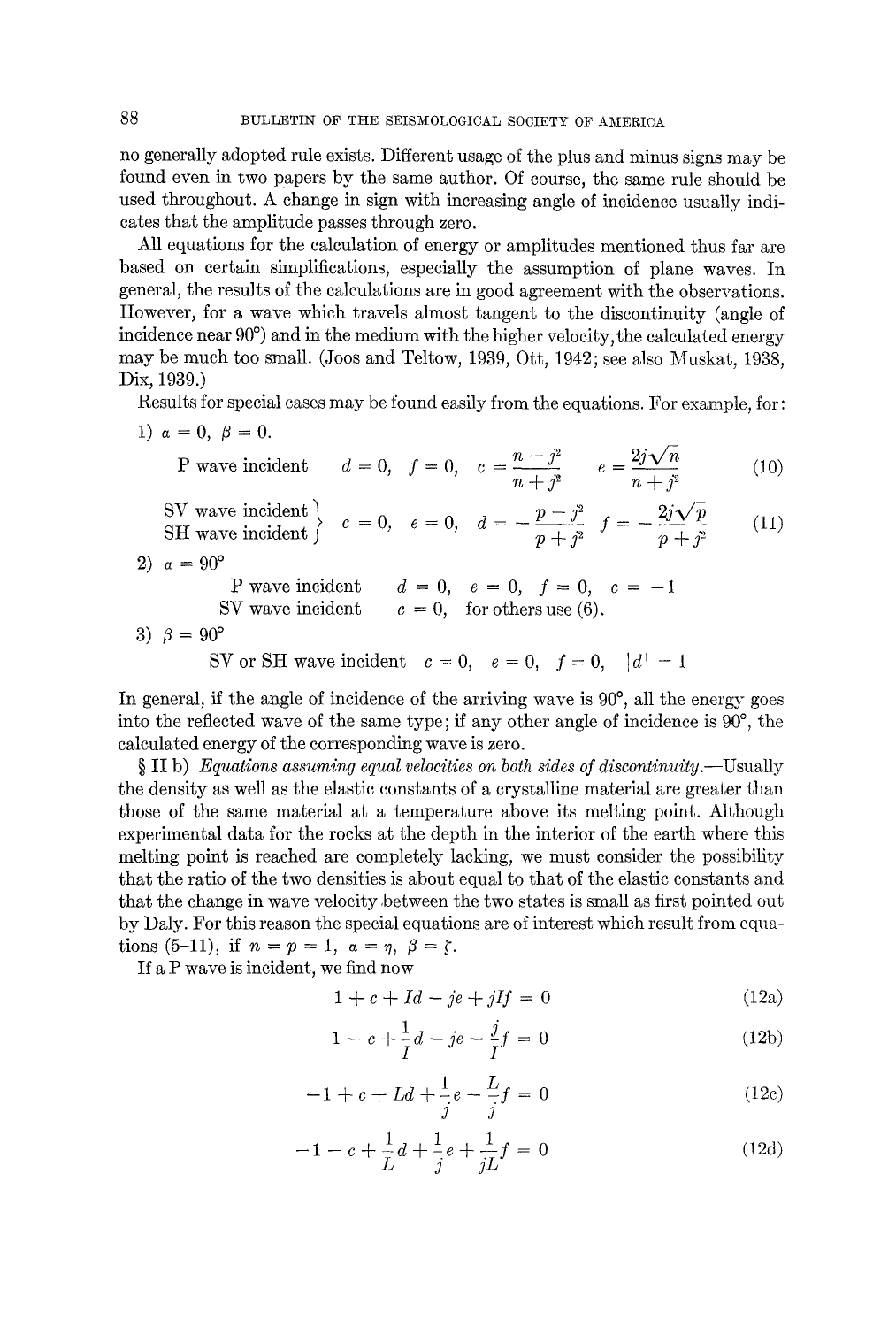no generally adopted rule exists. Different usage of the plus and minus signs may be found even in two papers by the same author. Of course, the same rule should be used throughout. A change in sign with increasing angle of incidence usually indicates that the amplitude passes through zero.

All equations for the calculation of energy or amplitudes mentioned thus far are based on certain simplifications, especially the assumption of plane waves. In general, the results of the calculations are in good agreement with the observations. However, for a wave which travels almost tangent to the discontinuity (angle of incidence near  $90^{\circ}$  and in the medium with the higher velocity, the calculated energy may be much too small. (Joos and Teltow, 1939, Oft, 1942; see also Muskat, 1938, Dix, 1939.)

Results for special cases may be found easily from the equations. For example, for: 1)  $\alpha=0, \ \beta=0.$ 

P wave incident 
$$
d = 0
$$
,  $f = 0$ ,  $c = \frac{n - j^2}{n + j^2}$   $e = \frac{2j\sqrt{n}}{n + j^2}$  (10)

SV wave incident  
\nSH wave incident 
$$
\left\{\n\begin{array}{ll}\nc = 0, & e = 0, & d = -\frac{p - j^2}{p + j^2} & f = -\frac{2j\sqrt{p}}{p + j^2}\n\end{array}\n\right.
$$
\n(11)

$$
2) \ \ a = 90
$$

P wave incident  $d = 0, e = 0, f = 0, c = -1$ SV wave incident  $c = 0$ , for others use (6).

$$
3) \ \beta = 90^{\circ}
$$

SV or SH wave incident  $c=0, e=0, f=0, |d|=1$ 

In general, if the angle of incidence of the arriving wave is  $90^{\circ}$ , all the energy goes into the reflected wave of the same type; if any other angle of incidence is  $90^{\circ}$ , the calculated energy of the corresponding wave is zero.

§ II b) *Equations assuming equal velocities on both sides of discontin~ity.--Usually*  the density as well as the elastic constants of a crystalline material are greater than those of the same material at a temperature above its melting point. Although experimental data for the rocks at the depth in the interior of the earth where this melting point is reached are completely lacking, we must consider the possibility that the ratio of the two densities is about equal to that of the elastic constants and that the change in wave velocity between the two states is small as first pointed out by Daly. For this reason the special equations are of interest which result from equations (5-11), if  $n = p = 1$ ,  $\alpha = \eta$ ,  $\beta = \zeta$ .

If a P wave is incident, we find now

$$
1 + c + Id - je + jIf = 0 \tag{12a}
$$

$$
1 - c + \frac{1}{I}d - je - \frac{j}{I}f = 0
$$
 (12b)

$$
-1 + c + Ld + \frac{1}{j}e - \frac{L}{j}f = 0
$$
 (12c)

$$
-1 - c + \frac{1}{L}d + \frac{1}{j}e + \frac{1}{jL}f = 0
$$
 (12d)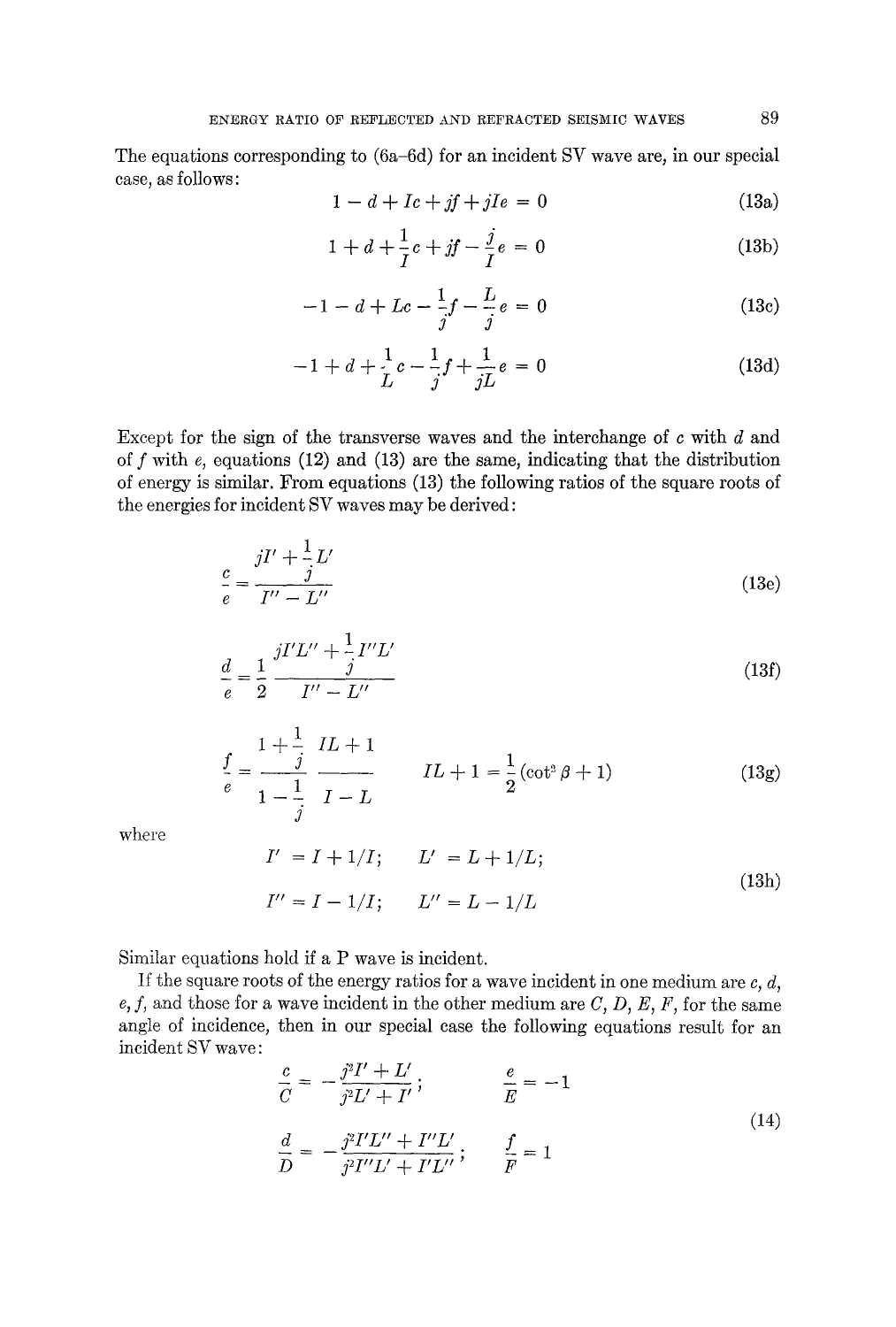The equations corresponding to (6a-6d) for an incident SV wave are, in our special case, as follows:

$$
1 - d + Ic + jf + jIe = 0 \tag{13a}
$$

$$
1 + d + \frac{1}{I}c + jf - \frac{j}{I}e = 0
$$
 (13b)

$$
-1 - d + Lc - \frac{1}{j}f - \frac{L}{j}e = 0
$$
 (13c)

$$
-1 + d + \frac{1}{L}c - \frac{1}{j}f + \frac{1}{jL}e = 0
$$
 (13d)

Except for the sign of the transverse waves and the interchange of  $c$  with  $d$  and of  $f$  with  $e$ , equations (12) and (13) are the same, indicating that the distribution of energy is similar. From equations (13) the following ratios of the square roots of the energies for incident SV waves may be derived:

$$
\frac{c}{e} = \frac{jI' + \frac{1}{j}L'}{I'' - L''}
$$
\n(13e)

$$
\frac{d}{e} = \frac{1}{2} \frac{jI'L'' + \frac{1}{j}I''L'}{I'' - L''}
$$
\n(13f)

$$
\frac{f}{e} = \frac{1 + \frac{1}{j}}{1 - \frac{1}{j}} \frac{IL + 1}{I - L} \qquad IL + 1 = \frac{1}{2} (\cot^2 \beta + 1) \tag{13g}
$$

where

$$
I' = I + 1/I; \qquad L' = L + 1/L;
$$
  

$$
I'' = I - 1/I; \qquad L'' = L - 1/L
$$
 (13h)

Similar equations hold if a P wave is incident.

If the square roots of the energy ratios for a wave incident in one medium are *c, d,*   $e, f$ , and those for a wave incident in the other medium are  $C, D, E, F$ , for the same angle of incidence, then in our special case the following equations result for an incident SV wave:

$$
\frac{c}{C} = -\frac{j^2 I' + L'}{j^2 L' + I'}, \qquad \frac{e}{E} = -1
$$
\n
$$
\frac{d}{D} = -\frac{j^2 I' L'' + I'' L'}{j^2 I'' L' + I' L''}; \qquad \frac{f}{F} = 1
$$
\n(14)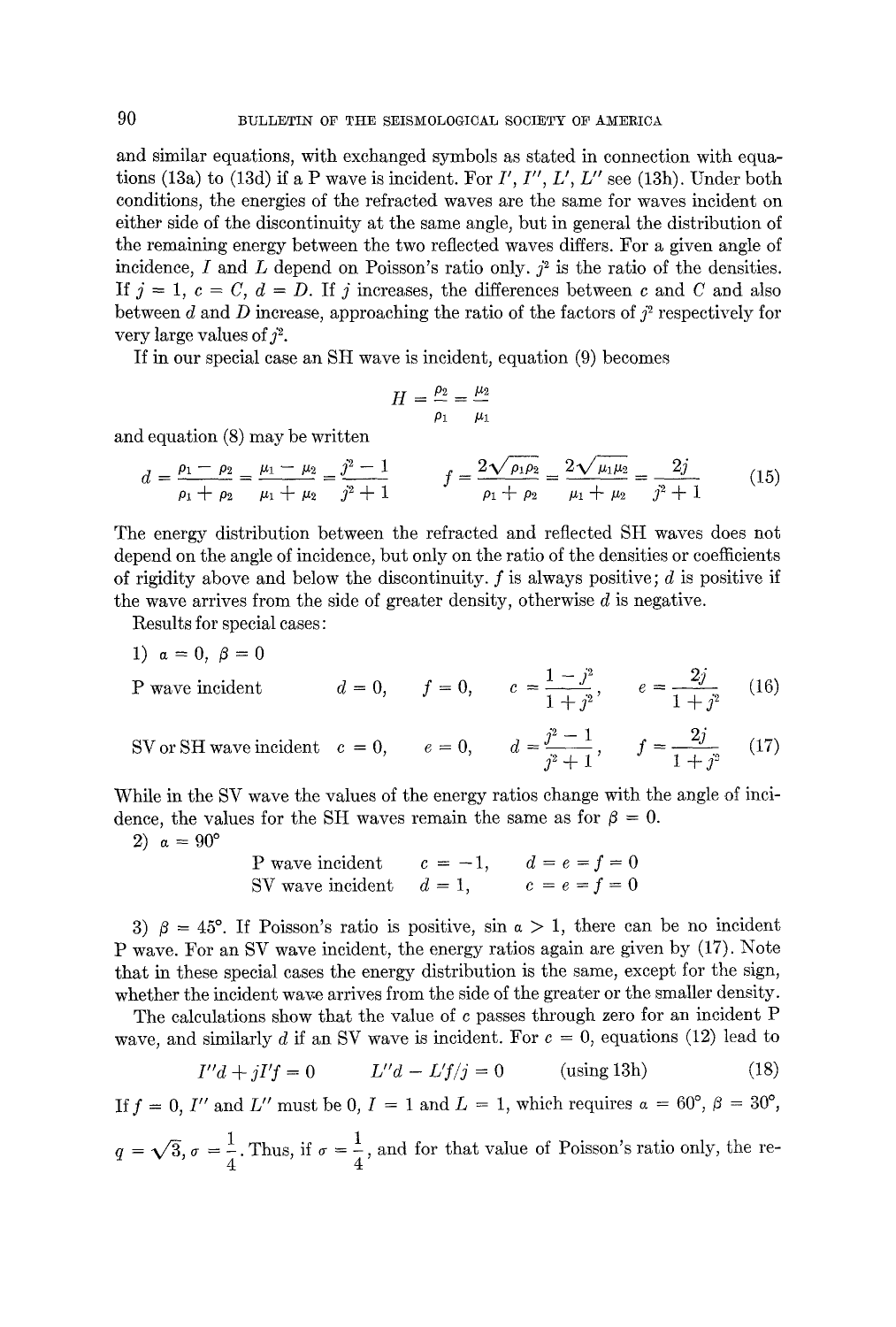and similar equations, with exchanged symbols as stated in connection with equations (13a) to (13d) if a P wave is incident. For *I', I', L', L"* see (13h). Under both conditions, the energies of the refracted waves are the same for waves incident on either side of the discontinuity at the same angle, but in general the distribution of the remaining energy between the two reflected waves differs. For a given angle of incidence, I and L depend on Poisson's ratio only,  $j^2$  is the ratio of the densities. If  $j = 1, c = C, d = D$ . If j increases, the differences between c and C and also between d and D increase, approaching the ratio of the factors of  $j^2$  respectively for very large values of  $\hat{i}^2$ .

If in our special case an SH wave is incident, equation (9) becomes

$$
H=\frac{\rho_2}{\rho_1}=\frac{\mu_2}{\mu_1}
$$

and equation (8) may be written

$$
d = \frac{\rho_1 - \rho_2}{\rho_1 + \rho_2} = \frac{\mu_1 - \mu_2}{\mu_1 + \mu_2} = \frac{j^2 - 1}{j^2 + 1} \qquad f = \frac{2\sqrt{\rho_1 \rho_2}}{\rho_1 + \rho_2} = \frac{2\sqrt{\mu_1 \mu_2}}{\mu_1 + \mu_2} = \frac{2j}{j^2 + 1} \tag{15}
$$

The energy distribution between the refracted and reflected SH waves does not depend on the angle of incidence, but only on the ratio of the densities or coefficients of rigidity above and below the discontinuity,  $f$  is always positive;  $d$  is positive if the wave arrives from the side of greater density, otherwise  $d$  is negative.

Results for special eases:

4

1)  $\alpha = 0, \ \beta = 0$ 

P wave incident 
$$
d = 0
$$
,  $f = 0$ ,  $c = \frac{1 - j^2}{1 + j^2}$ ,  $e = \frac{2j}{1 + j^2}$  (16)

SV or SH wave incident 
$$
c = 0
$$
,  $e = 0$ ,  $d = \frac{j^2 - 1}{j^2 + 1}$ ,  $f = \frac{2j}{1 + j^2}$  (17)

While in the SV wave the values of the energy ratios change with the angle of incidence, the values for the SH waves remain the same as for  $\beta = 0$ .

2)  $\alpha = 90^{\circ}$ 

P wave incident 
$$
c = -1
$$
,  $d = e = f = 0$   
SV wave incident  $d = 1$ ,  $c = e = f = 0$ 

3)  $\beta = 45^\circ$ . If Poisson's ratio is positive, sin  $\alpha > 1$ , there can be no incident P wave. For an SV wave incident, the energy ratios again are given by (17). Note that in these special eases the energy distribution is the same, except for the sign, whether the incident wave arrives from the side of the greater or the smaller density.

The calculations show that the value of c passes through zero for an incident P wave, and similarly d if an SV wave is incident. For  $c = 0$ , equations (12) lead to

$$
I''d + jI'f = 0 \qquad L''d - L'f/j = 0 \qquad \text{(using 13h)} \tag{18}
$$

If  $f = 0$ , I'' and L'' must be 0,  $I = 1$  and  $L = 1$ , which requires  $\alpha = 60^{\circ}, \beta = 30^{\circ}$ ,  $q = \sqrt{3}, \sigma = \frac{1}{2}$ . Thus, if  $\sigma = \frac{1}{2}$ , and for that value of Poisson's ratio only, the re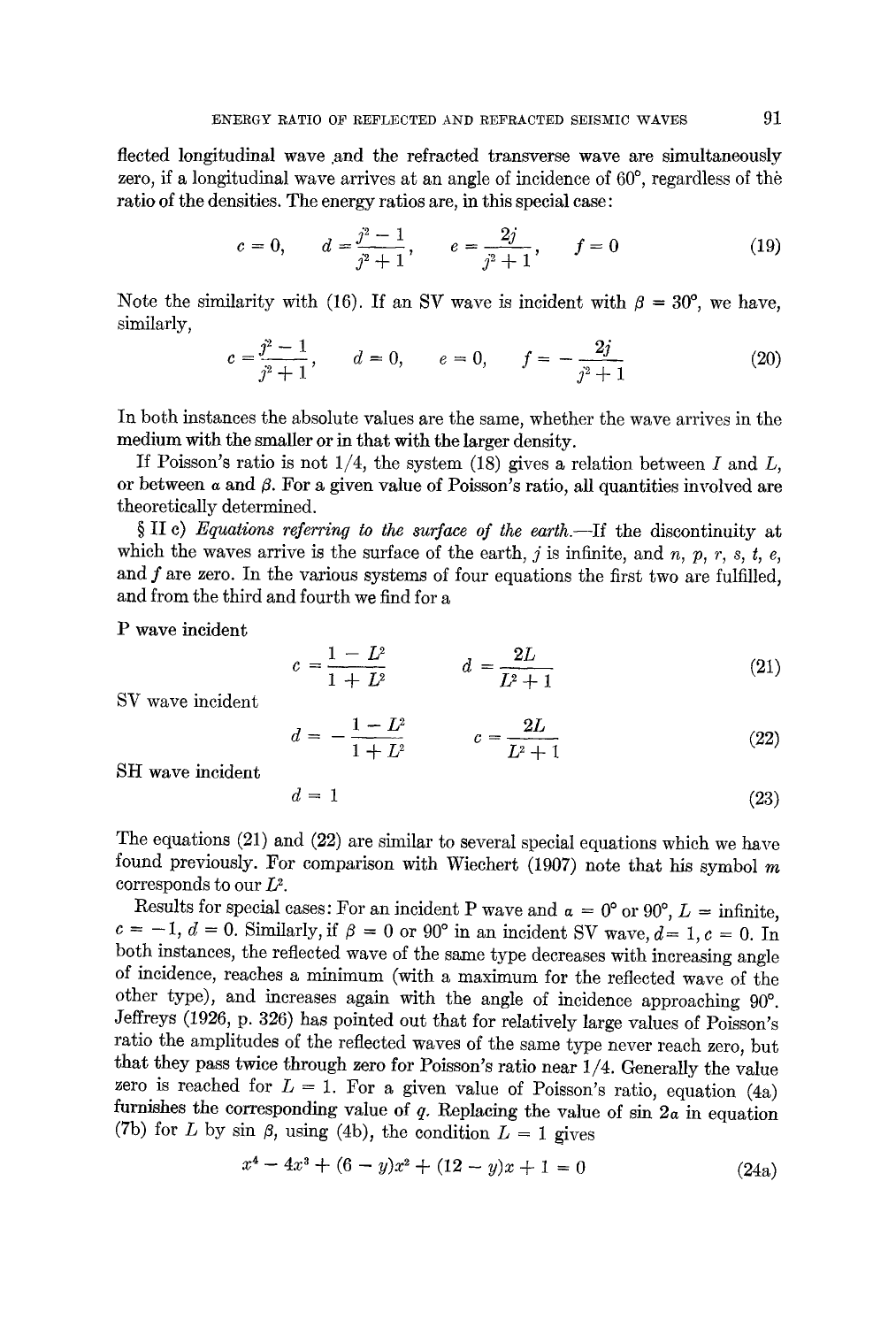flected longitudinal wave and the refracted transverse wave are simultaneously zero, if a longitudinal wave arrives at an angle of incidence of  $60^{\circ}$ , regardless of the ratio of the densities. The energy ratios are, in this special case:

$$
c = 0,
$$
  $d = \frac{j^2 - 1}{j^2 + 1},$   $e = \frac{2j}{j^2 + 1},$   $f = 0$  (19)

Note the similarity with (16). If an SV wave is incident with  $\beta = 30^{\circ}$ , we have, similarly,

$$
c = \frac{j^2 - 1}{j^2 + 1}, \qquad d = 0, \qquad e = 0, \qquad f = -\frac{2j}{j^2 + 1} \tag{20}
$$

In both instances the absolute values are the same, whether the wave arrives in the medium with the smaller or in that with the larger density.

If Poisson's ratio is not  $1/4$ , the system (18) gives a relation between I and L, or between  $\alpha$  and  $\beta$ . For a given value of Poisson's ratio, all quantities involved are theoretically determined.

§ II c) *Equations referring to the surface of the earth*.—If the discontinuity at which the waves arrive is the surface of the earth,  $j$  is infinite, and  $n$ ,  $p$ ,  $r$ ,  $s$ ,  $t$ ,  $e$ , and  $f$  are zero. In the various systems of four equations the first two are fulfilled, and from the third and fourth we find for a

P wave incident

$$
c = \frac{1 - L^2}{1 + L^2} \qquad d = \frac{2L}{L^2 + 1} \tag{21}
$$

SY wave incident

$$
d = -\frac{1 - L^2}{1 + L^2} \qquad c = \frac{2L}{L^2 + 1} \tag{22}
$$

SH wave incident

$$
d = 1 \tag{23}
$$

The equations (21) and (22) are similar to several special equations which we have found previously. For comparison with Wiechert (1907) note that his symbol  $m$ corresponds to our  $L^2$ .

Results for special cases: For an incident P wave and  $\alpha = 0^{\circ}$  or 90°,  $L = \text{infinite}$ ,  $c = -1, d = 0$ . Similarly, if  $\beta = 0$  or 90<sup>°</sup> in an incident SV wave,  $d=1, c = 0$ . In both instances, the reflected wave of the same type decreases with increasing angle of incidence, reaches a minimum (with a maximum for the reflected wave of the other type), and increases again with the angle of incidence approaching  $90^\circ$ . Jeffreys (1926, p. 326) has pointed out that for relatively large values of Poisson's ratio the amplitudes of the reflected waves of the same type never reach zero, but that they pass twice through zero for Poisson's ratio near 1/4. Generally the value zero is reached for  $L = 1$ . For a given value of Poisson's ratio, equation (4a) furnishes the corresponding value of q. Replacing the value of sin *2a* in equation (7b) for L by sin  $\beta$ , using (4b), the condition  $L = 1$  gives

$$
x^4 - 4x^3 + (6 - y)x^2 + (12 - y)x + 1 = 0 \tag{24a}
$$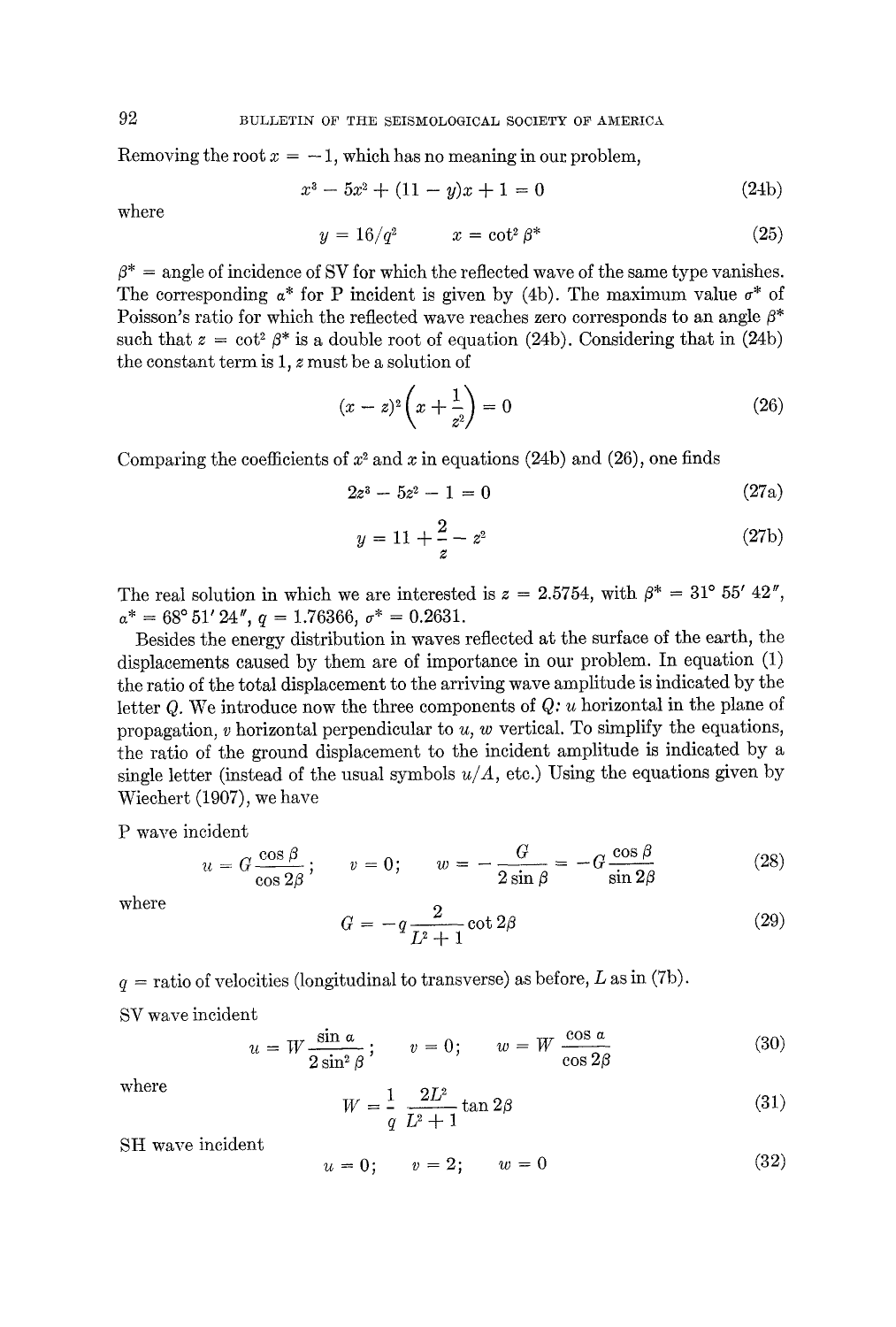Removing the root  $x = -1$ , which has no meaning in our problem,

$$
x^3 - 5x^2 + (11 - y)x + 1 = 0 \tag{24b}
$$

where

$$
y = 16/q^2 \qquad x = \cot^2 \beta^* \tag{25}
$$

 $\beta^*$  = angle of incidence of SV for which the reflected wave of the same type vanishes. The corresponding  $a^*$  for P incident is given by (4b). The maximum value  $\sigma^*$  of Poisson's ratio for which the reflected wave reaches zero corresponds to an angle  $\beta^*$ such that  $z = \cot^2 \beta^*$  is a double root of equation (24b). Considering that in (24b) the constant term is  $1$ ,  $z$  must be a solution of

$$
(x-z)^2 \left( x + \frac{1}{z^2} \right) = 0 \tag{26}
$$

Comparing the coefficients of  $x^2$  and x in equations (24b) and (26), one finds

$$
2z^3 - 5z^2 - 1 = 0 \tag{27a}
$$

$$
y = 11 + \frac{2}{z} - z^2 \tag{27b}
$$

The real solution in which we are interested is  $z = 2.5754$ , with  $\beta^* = 31^{\circ} 55' 42''$ ,  $\alpha^* = 68^{\circ} 51' 24'', \quad q = 1.76366, \quad \sigma^* = 0.2631.$ 

Besides the energy distribution in waves reflected at the surface of the earth, the displacements caused by them are of importance in our problem. In equation (1) the ratio of the total displacement to the arriving wave amplitude is indicated by the letter Q. We introduce now the three components of *Q: u* horizontal in the plane of propagation, v horizontal perpendicular to *u, w* vertical. To simplify the equations, the ratio of the ground displacement to the incident amplitude is indicated by a single letter (instead of the usual symbols  $u/A$ , etc.) Using the equations given by Wiechert (1907), we have

P wave incident

$$
u = G \frac{\cos \beta}{\cos 2\beta}; \qquad v = 0; \qquad w = -\frac{G}{2\sin \beta} = -G \frac{\cos \beta}{\sin 2\beta}
$$
(28)

where

$$
G = -q \frac{2}{L^2 + 1} \cot 2\beta \tag{29}
$$

$$
q
$$
 = ratio of velocities (longitudinal to transverse) as before,  $L$  as in (7b).

SV wave incident

$$
u = W \frac{\sin a}{2 \sin^2 \beta}; \qquad v = 0; \qquad w = W \frac{\cos a}{\cos 2\beta}
$$
 (30)

where

$$
W = \frac{1}{q} \frac{2L^2}{L^2 + 1} \tan 2\beta
$$
 (31)

SH wave incident

$$
u = 0; \qquad v = 2; \qquad w = 0 \tag{32}
$$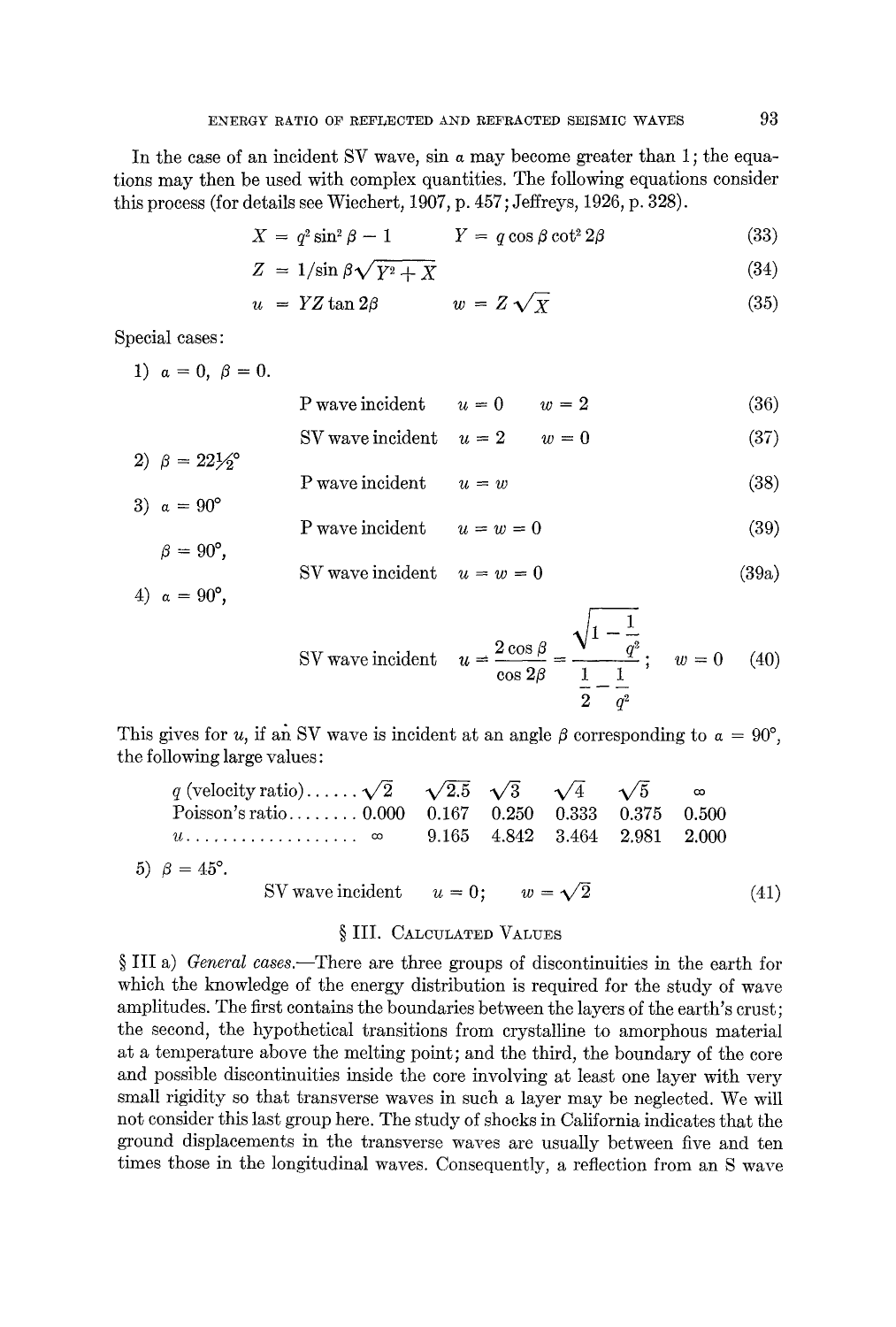In the case of an incident SV wave, sin a may become greater than 1; the equations may then be used with complex quantities. The following equations consider this process (for details see Wieehert, 1907, p. 457; Jeffreys, 1926, p. 328).

$$
X = q^2 \sin^2 \beta - 1 \qquad \qquad Y = q \cos \beta \cot^2 2\beta \tag{33}
$$

$$
Z = 1/\sin \beta \sqrt{Y^2 + X} \tag{34}
$$

$$
u = YZ \tan 2\beta \qquad \qquad w = Z\sqrt{X} \tag{35}
$$

Special cases:

1)  $\alpha = 0, \ \beta = 0.$ 

P wave incident  $u = 0$   $w = 2$  (36) SV wave incident  $u = 2$   $w = 0$  (37)

- 2)  $\beta = 22\frac{1}{2}$
- P wave incident  $u = w$  (38) 3)  $\alpha = 90^{\circ}$

$$
P \text{ wave incident} \qquad u = w = 0 \tag{39}
$$
  

$$
\beta = 90^{\circ}, \qquad \text{SV wave incident} \qquad u = w = 0 \tag{39a}
$$

4) 
$$
\alpha = 90^{\circ}
$$
,

SV wave incident 
$$
u = \frac{2 \cos \beta}{\cos 2\beta} = \frac{\sqrt{1 - \frac{1}{q^2}}}{\frac{1}{2} - \frac{1}{q^2}};
$$
  $w = 0$  (40)

This gives for u, if an SV wave is incident at an angle  $\beta$  corresponding to  $\alpha = 90^{\circ}$ , the following large values:

| q (velocity ratio) $\sqrt{2}$ $\sqrt{2.5}$ $\sqrt{3}$ $\sqrt{4}$ $\sqrt{5}$ $\infty$ |  |  |      |
|--------------------------------------------------------------------------------------|--|--|------|
| Poisson's ratio 0.000 0.167 0.250 0.333 0.375 0.500                                  |  |  |      |
| $u_1, \ldots, u_n, \ldots, u_n \approx 9.165$ 4.842 3.464 2.981 2.000                |  |  |      |
| 5) $\beta = 45^{\circ}$ .                                                            |  |  |      |
| SV wave incident $u = 0$ ; $w = \sqrt{2}$                                            |  |  | (41) |

## § III. CALCULATED VALUES

§ III a) *General cases*.—There are three groups of discontinuities in the earth for which the knowledge of the energy distribution is required for the study of wave amplitudes. The first contains the boundaries between the layers of the earth's crust; the second, the hypothetical transitions from crystalline to amorphous material at a temperature above the melting point; and the third, the boundary of the core and possible discontinuities inside the core involving at least one layer with very small rigidity so that transverse waves in such a layer may be neglected. We will not consider this last group here. The study of shocks in California indicates that the ground displacements in the transverse waves are usually between five and ten times those in the longitudinal waves. Consequently, a reflection from an S wave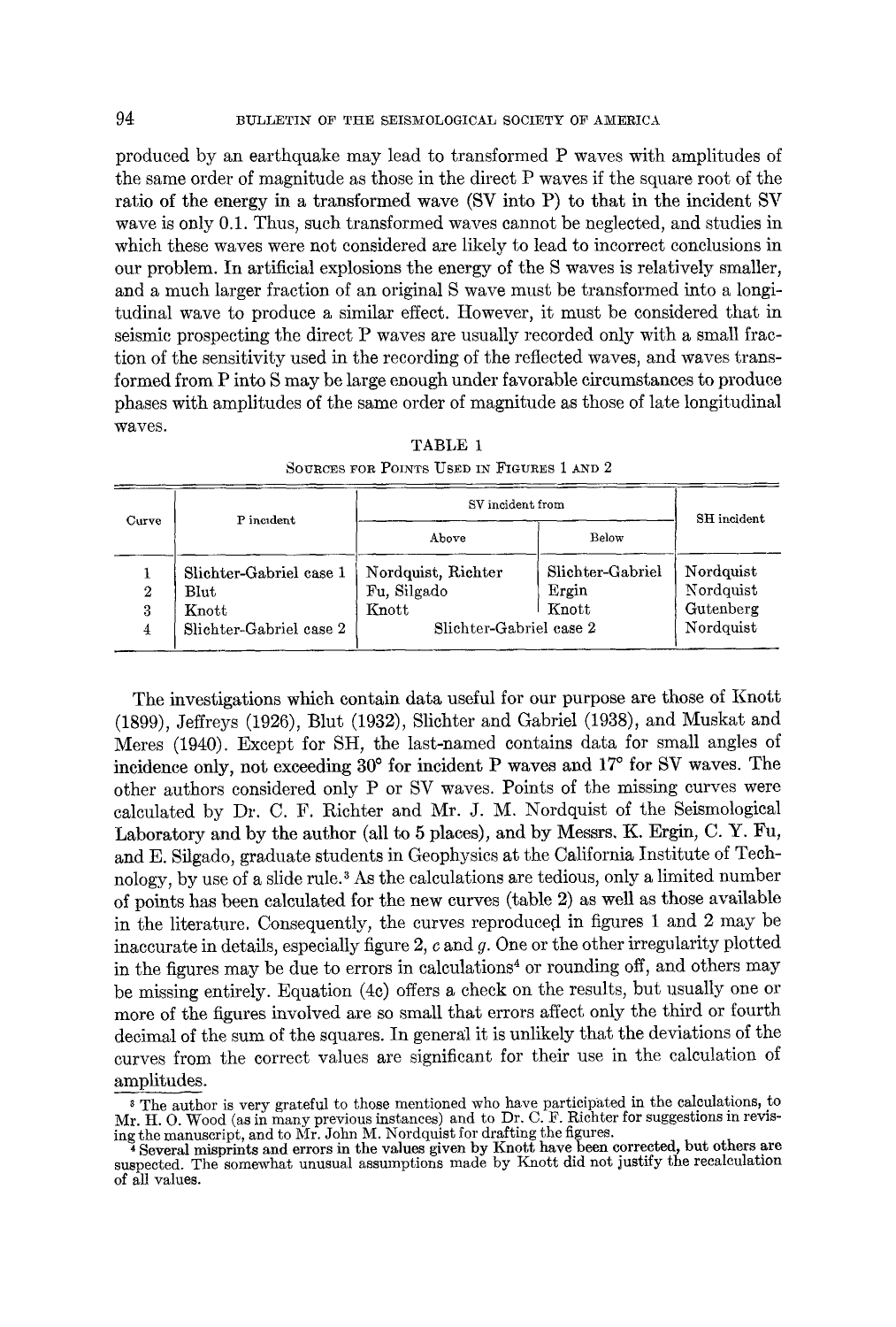produced by an earthquake may lead to transformed P waves with amplitudes of the same order of magnitude as those in the direct P waves if the square root of the ratio of the energy in a transformed wave (SV into P) to that in the incident SV wave is only  $0.1$ . Thus, such transformed waves cannot be neglected, and studies in which these waves were not considered are likely to lead to incorrect conclusions in our problem. In artificial explosions the energy of the S waves is relatively smaller, and a much larger fraction of an original S wave must be transformed into a longitudinal wave to produce a similar effect. However, it must be considered that in seismic prospecting the direct P waves are usually recorded only with a small fraction of the sensitivity used in the recording of the reflected waves, and waves transformed from P into S may be large enough under favorable circumstances to produce phases with amplitudes of the same order of magnitude as those of late longitudinal waves.

| Curve       | P incident                                                                     | SV incident from                                                      |                                    | SH incident                                      |
|-------------|--------------------------------------------------------------------------------|-----------------------------------------------------------------------|------------------------------------|--------------------------------------------------|
|             |                                                                                | Above                                                                 | Below                              |                                                  |
| 2<br>3<br>4 | Slichter-Gabriel case 1<br>$\mathbf{Blut}$<br>Knott<br>Slichter-Gabriel case 2 | Nordquist, Richter<br>Fu, Silgado<br>Knott<br>Slichter-Gabriel case 2 | Slichter-Gabriel<br>Ergin<br>Knott | Nordquist<br>Nordquist<br>Gutenberg<br>Nordquist |

TABLE 1 SOURCES FOR POINTS USED IN FIGURES 1 AND 2

The investigations which contain data useful for our purpose are those of Knott (1899), Jeffreys (1926), Blut (1932), Slichter and Gabriel (1938), and Muskat and Meres (1940). Except for SH, the last-named contains data for small angles of incidence only, not exceeding  $30^{\circ}$  for incident P waves and  $17^{\circ}$  for SV waves. The other authors considered only P or SV waves. Points of the missing curves were calculated by Dr. C. F. Richter and Mr. J. M. Nordquist of the Seismological Laboratory and by the author (all to 5 places), and by Messrs. K. Ergin, C. Y. Fu, and E. Silgado, graduate students in Geophysics at the California Institute of Technology, by use of a slide rule. 3 As the calculations are tedious, only a limited number of points has been calculated for the new curves (table 2) as well as those available in the literature. Consequently, the curves reproduced in figures 1 and 2 may be inaccurate in details, especially figure  $2$ ,  $c$  and  $g$ . One or the other irregularity plotted in the figures may be due to errors in calculations<sup>4</sup> or rounding off, and others may be missing entirely. Equation (4c) offers a check on the results, but usually one or more of the figures involved are so small that errors affect only the third or fourth decimal of the sum of the squares. In genergl it is unlikely that the deviations of the curves from the correct values are significant for their use in the calculation of amplitudes.

3 The author is very grateful to those mentioned who have participated in the calculations, to Mr. H. O. Wood (as in many previous instances) and to Dr. C. F. Richter for suggestions in revising the manuscript, and to Mr. John M. Nordquist for drafting the figures.

4 Several misprints and errors in the values given by Knott have been corrected, but others are suspected. The somewhat unusual assumptions made by Knott did not justify the recalculation of all values.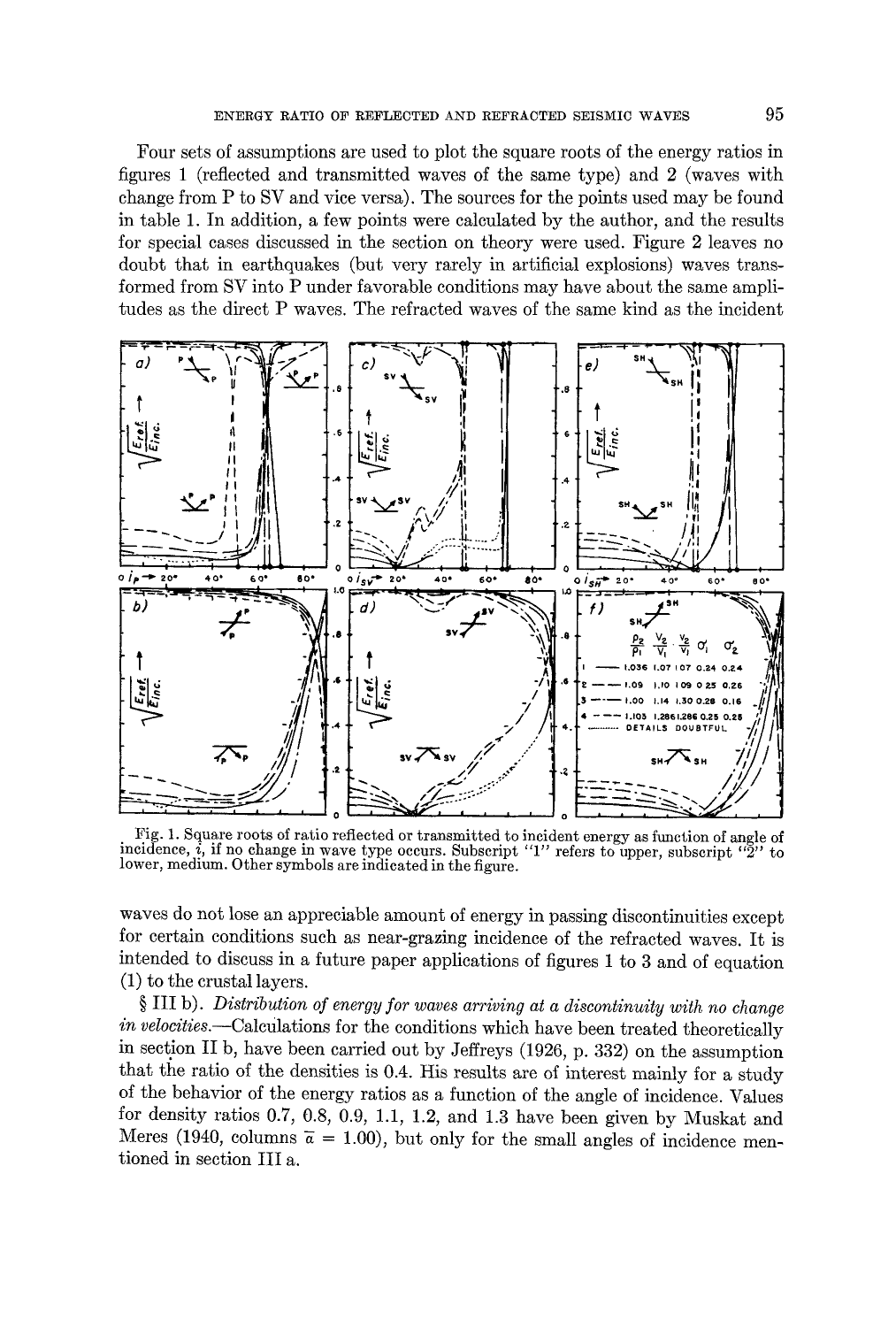Four sets of assumptions are used to plot the square roots of the energy ratios in figures 1 (reflected and transmitted waves of the same type) and 2 (waves with change from P to SV and vice versa). The sources for the points used may be found in table 1. In addition, a few points were calculated by the author, and the results for special cases discussed in the section on theory were used. Figure 2 leaves no doubt that in earthquakes (but very rarely in artificial explosions) waves transformed from SV into P under favorable conditions may have about the same amplitudes as the direct P waves. The refracted waves of the same kind as the incident



Fig. 1. Square roots of ratio reflected or transmitted to incident energy as function of angle of incidence, *i*, if no change in wave type occurs. Subscript "1" refers to upper, subscript "2" to lower, medium. Other symbols are indicated in the figure.

waves do not lose an appreciable amount of energy in passing discontinuities except for certain conditions such as near-grazing incidence of the refracted waves. It is intended to discuss in a future paper applications of figures 1 to 3 and of equation  $(1)$  to the crustal layers.

 $\S$  III b). Distribution of energy for waves arriving at a discontinuity with no change in velocities.—Calculations for the conditions which have been treated theoretically in section II b, have been carried out by Jeffreys (1926, p. 332) on the assumption that the ratio of the densities is 0.4. His results are of interest mainly for a study of the behavior of the energy ratios as a function of the angle of incidence. Values for density ratios  $0.7, 0.8, 0.9, 1.1, 1.2,$  and  $1.3$  have been given by Muskat and Meres (1940, columns  $\bar{a} = 1.00$ ), but only for the small angles of incidence mentioned in section III a.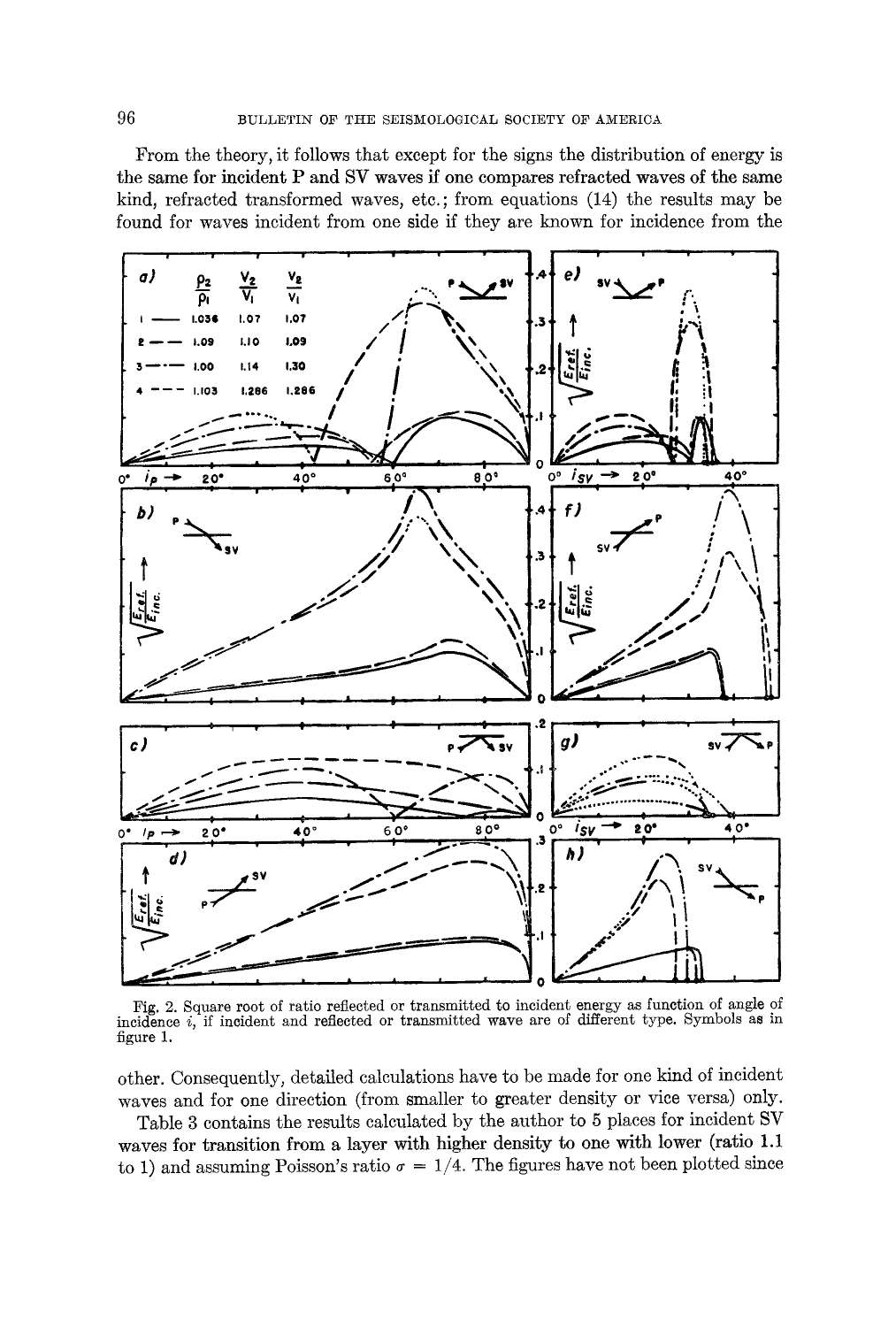From the theory, it follows that except for the signs the distribution of energy is the same for incident P and SV waves if one compares refracted waves of the same kind, refracted transformed waves, etc.; from equations (14) the results may be found for waves incident from one side if they are known for incidence from the



Fig. 2. Square root of ratio reflected or transmitted to incident energy as function of angle of incidence  $i$ , if incident and reflected or transmitted wave are of different type. Symbols as in figure 1.

other. Consequently, detailed calculations have to be made for one kind of incident waves and for one direction (from smaller to greater density or vice versa) only.

Table 3 contains the results calculated by the author to 5 places for incident SV waves for transition from a layer with higher density to one with lower (ratio 1.1) to 1) and assuming Poisson's ratio  $\sigma = 1/4$ . The figures have not been plotted since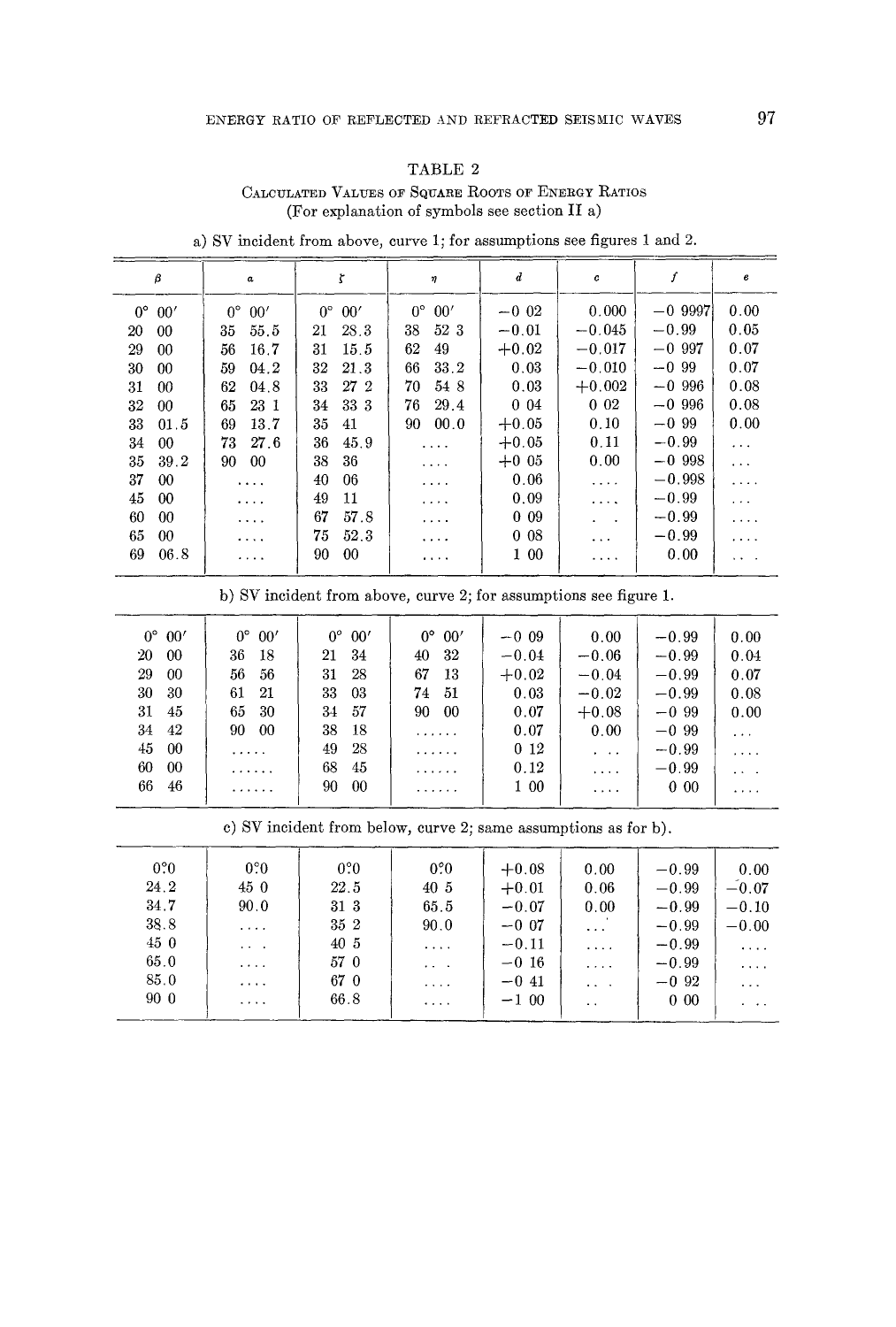#### TABLE 2

## CALCULATED VALUES OF SQUARE ROOTS OF ENERGY RATIOS (For explanation of symbols see section II a)

| β                  | a                  | ζ                  | η                    | $\boldsymbol{d}$ | $\pmb{c}$     | ſ         | e                                                   |
|--------------------|--------------------|--------------------|----------------------|------------------|---------------|-----------|-----------------------------------------------------|
| $0^{\circ}$<br>00' | $0^{\circ}$<br>00' | $0^{\circ}$<br>00' | $0^{\circ}$<br>00'   | $-0.02$          | 0.000         | $-0.9997$ | 0.00                                                |
| 20<br>00           | 55.5<br>35         | 28.3<br>21         | 38<br>52 3           | $-0.01$          | $-0.045$      | $-0.99$   | 0.05                                                |
| 29<br>00           | 16.7<br>56         | 15.5<br>31         | 62<br>49             | $+0.02$          | $-0.017$      | $-0.997$  | 0.07                                                |
| 30<br>00           | 04.2<br>59         | 21.3<br>32         | 66<br>33.2           | 0.03             | $-0.010$      | $-0.99$   | 0.07                                                |
| 31<br>00           | 62<br>04.8         | 33<br>27 2         | 54 8<br>70           | 0.03             | $+0.002$      | $-0.996$  | 0.08                                                |
| 32<br>00           | 23 1<br>65         | 33 3<br>34         | 29.4<br>76           | $0\,04$          | $0\,02$       | $-0.996$  | 0.08                                                |
| 33<br>01.5         | 13.7<br>69         | 35<br>41           | 00.0<br>90.          | $+0.05$          | 0.10          | $-0.99$   | 0.00                                                |
| 34<br>$00\,$       | 27.6<br>73.        | 36<br>45.9         | $\cdots$             | $+0.05$          | 0.11          | $-0.99$   | $\cdots$                                            |
| 35<br>39.2         | 00<br>90.          | 38<br>36           | $\sim$ $\sim$ $\sim$ | $+0.05$          | 0.00          | $-0.998$  | $\sim$ $\sim$                                       |
| 37<br>$00\,$       | $\cdots$           | 40<br>06           | $\cdots$             | 0.06             | $\ldots$ .    | $-0.998$  | $\ldots$ .                                          |
| 45<br>00           | $\cdots$           | 49<br>11           | $\cdots$             | 0.09             | $\cdots$      | $-0.99$   | $\cdots$                                            |
| 60<br>00           | $\cdots$           | 67<br>57.8         | $\cdots$             | 009              | $\sim$ $\sim$ | $-0.99$   | .                                                   |
| 65<br>00           | $\cdots$           | 75<br>52.3         | $\cdots$             | 0 <sub>08</sub>  | $\cdots$      | $-0.99$   | .                                                   |
| 69<br>06.8         | $\cdots$           | 90<br>$00\,$       | $\cdots$             | 1 00             | .             | 0.00      | $\mathbf{v} = \mathbf{v} + \mathbf{v} + \mathbf{v}$ |

a) SV incident from above, curve 1; for assumptions see figures 1 and 2.

b) SV incident from above, curve 2; for assumptions see figure 1.

| $0^{\circ}$ 00'<br>20<br>-00<br>29<br>$_{00}$<br>30<br>-30<br>31<br>45<br>34<br>-42 | $0^{\circ}$<br>00'<br>36<br>-18<br>56<br>56<br>61<br>21<br>65<br>30<br>90<br>00 | $0^{\circ}$<br>00'<br>34<br>21<br>28<br>31<br>33<br>03<br>57<br>34<br>38<br>18 | 0°<br>00'<br>32<br>40<br>67<br>13<br>74<br>51<br>90<br>-00<br>. | $-0.09$<br>$-0.04$<br>$+0.02$<br>0.03<br>0.07<br>0.07 | 0.00<br>$-0.06$<br>$-0.04$<br>$-0.02$<br>$+0.08$<br>0.00 | $-0.99$<br>$-0.99$<br>$-0.99$<br>$-0.99$<br>$-0.99$<br>$-0.99$ | 0.00<br>0.04<br>0.07<br>0.08<br>0.00<br>$\cdots$ |
|-------------------------------------------------------------------------------------|---------------------------------------------------------------------------------|--------------------------------------------------------------------------------|-----------------------------------------------------------------|-------------------------------------------------------|----------------------------------------------------------|----------------------------------------------------------------|--------------------------------------------------|
| 45<br>- 00<br>60<br>-00<br>66<br>46                                                 | .<br>.<br>.                                                                     | 28<br>49<br>68<br>45<br>90<br>00                                               | .<br>.<br>.                                                     | 0 <sub>12</sub><br>0.12<br>1 00                       | $\sim$ $\sim$ $\sim$<br>.<br>1.1.1.1                     | $-0.99$<br>$-0.99$<br>$0\,00$                                  | .<br>$\cdots$<br>                                |

c) SV incident from below, curve 2; same assumptions as for b).

| 0.0  | $0.0^{\circ}$                                             | 0.0  | 0.0 <sub>0</sub>                          | $+0.08$ | 0.00                        | $-0.99$ | 0.00                 |
|------|-----------------------------------------------------------|------|-------------------------------------------|---------|-----------------------------|---------|----------------------|
| 24.2 | 450                                                       | 22.5 | 40 5                                      | $+0.01$ | 0.06                        | $-0.99$ | $-0.07$              |
| 34.7 | 90.0                                                      | 31 3 | 65.5                                      | $-0.07$ | 0.00                        | $-0.99$ | $-0.10$              |
| 38.8 | $\alpha$ , $\alpha$ , $\alpha$                            | 35 2 | 90.0                                      | $-0.07$ | $\ddotsc$                   | $-0.99$ | $-0.00$              |
| 450  | $\mathbf{r}$ , $\mathbf{r}$ , $\mathbf{r}$ , $\mathbf{r}$ | 40 5 | $\sim$ $\sim$ $\sim$ $\sim$               | $-0.11$ | $\sim$ $\sim$ $\sim$ $\sim$ | $-0.99$ | $\cdots$             |
| 65.0 | $1.14 - 1.1$                                              | 57 0 | $\alpha$ , $\alpha$ , $\alpha$ , $\alpha$ | $-0.16$ | $\sim$ $\sim$ $\sim$ $\sim$ | $-0.99$ | $\cdots$             |
| 85.0 | $-1 - 1 - 1$                                              | 67 0 | $\sim$ $\sim$ $\sim$ $\sim$               | $-0.41$ | $\mathbf{a}$ , $\mathbf{a}$ | $-0.92$ | $\sim$ $\sim$ $\sim$ |
| 90 0 |                                                           | 66.8 | $\alpha$ , and $\alpha$                   | $-100$  | $\sim$                      | $0\,00$ | $\cdots$             |
|      |                                                           |      |                                           |         |                             |         |                      |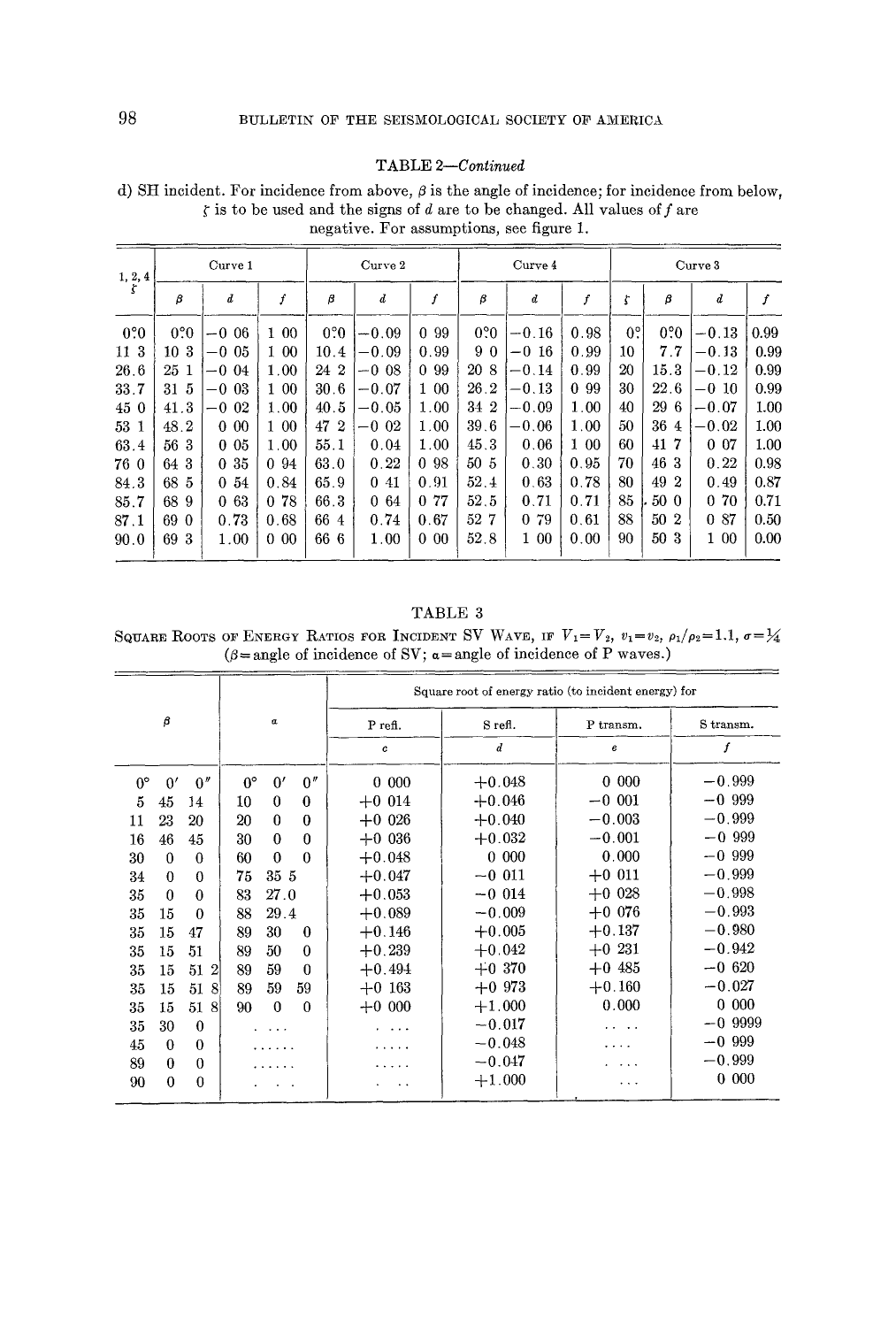#### TABLE 2-Continued

d) SH incident. For incidence from above,  $\beta$  is the angle of incidence; for incidence from below,  $\zeta$  is to be used and the signs of d are to be changed. All values of f are negative. For assumptions, see figure 1.

|                   |                 | Curve 1          |         | $Curve$ 2 |         |                  | Curve 4          |         |         |                  | Curve 3          |                  |      |  |
|-------------------|-----------------|------------------|---------|-----------|---------|------------------|------------------|---------|---------|------------------|------------------|------------------|------|--|
| $\frac{1}{5}$ , 4 | β               | $\boldsymbol{d}$ | f       | β         | $_{d}$  | $\boldsymbol{f}$ | β                | d       | f       | ţ                | β                | $\boldsymbol{d}$ | f    |  |
| $0.0^\circ$       | $0.0^{\circ}$   | $-0.06$          | 100     | 0.0       | $-0.09$ | 99<br>0          | 0.0 <sub>0</sub> | $-0.16$ | 0.98    | $0$ <sup>o</sup> | 0.0 <sub>0</sub> | $-0.13$          | 0.99 |  |
| 11 3              | 10 <sub>3</sub> | $-0.05$          | 1 00    | 10.4      | $-0.09$ | 0.99             | 90               | $-0.16$ | 0.99    | 10               | 7.7              | $-0.13$          | 0.99 |  |
| 26.6              | 25 <sub>1</sub> | $-0.04$          | 1.00    | 24 2      | $-0.08$ | 0 9 9            | 20 8             | $-0.14$ | 0.99    | 20               | 15.3             | $-0.12$          | 0.99 |  |
| 33.7              | 31 5            | $-0.03$          | 1 00    | 30.6      | $-0.07$ | 1 00             | 26.2             | $-0.13$ | 0 99    | 30               | 22.6             | $-0.10$          | 0.99 |  |
| 45 0              | 41.3            | $-0.02$          | 1.00    | 40.5      | $-0.05$ | 1.00             | 34 2             | $-0.09$ | 1.00    | 40               | 29 6             | $-0.07$          | 1.00 |  |
| 53 1              | 48.2            | $0\,00$          | 1 00    | 47 2      | $-0.02$ | 1.00             | 39.6             | $-0.06$ | 1.00    | 50               | 36 4             | $-0.02$          | 1.00 |  |
| 63.4              | 56 3            | $0\,05$          | 1.00    | 55.1      | 0.04    | 1.00             | 45.3             | 0.06    | $1\,00$ | 60               | 417              | 0 <sub>07</sub>  | 1.00 |  |
| 76 0              | 64 3            | 035              | 0.94    | 63.0      | 0.22    | 0 98             | 50 <sub>5</sub>  | 0.30    | 0.95    | 70               | 46 3             | 0.22             | 0.98 |  |
| 84.3              | 68 5            | 0.54             | 0.84    | 65.9      | 0.41    | 0.91             | 52.4             | 0.63    | 0.78    | 80               | 49 2             | 0.49             | 0.87 |  |
| 85.7              | 68<br>-9        | 063              | 0.78    | 66.3      | 064     | 0 77             | 52.5             | 0.71    | 0.71    | 85               | 50 0             | 070              | 0.71 |  |
| 87.1              | 690             | 0.73             | 0.68    | 66 4      | 0.74    | 0.67             | 52 7             | 0 79    | 0.61    | 88               | 50 2             | 0 87             | 0.50 |  |
| 90.0              | 69<br>-3        | 1.00             | $0\,00$ | 66 6      | 1.00    | $0\,00$          | 52.8             | 1 00    | 0.00    | 90               | 50 3             | 1 00             | 0.00 |  |

TABLE 3

SQUARE ROOTS OF ENERGY RATIOS FOR INCIDENT SV WAVE, IF  $V_1 = V_2$ ,  $v_1 = v_2$ ,  $\rho_1/\rho_2 = 1.1$ ,  $\sigma = \frac{1}{4}$  ( $\beta =$ angle of incidence of SV;  $\alpha =$ angle of incidence of P waves.)

|             |             |                      |             |              |          |                                    |                  | Square root of energy ratio (to incident energy) for |           |
|-------------|-------------|----------------------|-------------|--------------|----------|------------------------------------|------------------|------------------------------------------------------|-----------|
|             | β           |                      |             | α            |          | P refi.                            | S refl.          | P transm.                                            | S transm. |
|             |             |                      |             |              |          | c                                  | $\boldsymbol{d}$ | e                                                    | f         |
| $0^{\circ}$ | 0'          | 0''                  | $0^{\circ}$ | 0'           | 0''      | 0<br>000                           | $+0.048$         | 000<br>$\mathbf{0}$                                  | $-0.999$  |
| 5           | 45          | 14                   | 10          | $\bf{0}$     | $\bf{0}$ | $+0.014$                           | $+0.046$         | $-0.001$                                             | $-0.999$  |
| 11          | 23          | 20                   | 20          | $\theta$     | 0        | $+0.026$                           | $+0.040$         | $-0.003$                                             | $-0.999$  |
| 16          | 46          | 45                   | 30          | $\theta$     | $\Omega$ | $+0.036$                           | $+0.032$         | $-0.001$                                             | $-0.999$  |
| 30          | $\theta$    | $\theta$             | 60          | $\mathbf{0}$ | $\theta$ | $+0.048$                           | $0\,000$         | 0.000                                                | $-0.999$  |
| 34          | $\theta$    | $\theta$             | 75          | 35 5         |          | $+0.047$                           | $-0.011$         | $+0$ 011                                             | $-0.999$  |
| 35          | $\theta$    | $\Omega$             | 83          | 27.0         |          | $+0.053$                           | $-0.014$         | $+0.028$                                             | $-0.998$  |
| 35          | 15          | $\theta$             | 88          | 29.4         |          | $+0.089$                           | $-0.009$         | $+0.076$                                             | $-0.993$  |
| 35          | 15          | 47                   | 89          | 30           | $\theta$ | $+0.146$                           | $+0.005$         | $+0.137$                                             | $-0.980$  |
| 35          | 15          | 51                   | 89          | 50           | $\Omega$ | $+0.239$                           | $+0.042$         | $+0.231$                                             | $-0.942$  |
| 35          | 15          | $\overline{2}$<br>51 | 89          | 59           | $\theta$ | $+0.494$                           | $+0.370$         | $+0.485$                                             | $-0.620$  |
| 35          | 15          | 51<br>8              | 89          | 59           | 59       | $+0.163$                           | $+0.973$         | $+0.160$                                             | $-0.027$  |
| 35          | 15          | $\mathbf{8}$<br>51   | 90          | $\Omega$     | $\Omega$ | $+0.000$                           | $+1.000$         | 0.000                                                | $0\,000$  |
| 35          | 30          | $\theta$             |             |              |          | .                                  | $-0.017$         | $\mathbf{r}$ , and $\mathbf{r}$ , and $\mathbf{r}$   | $-0.9999$ |
| 45          | $\Omega$    | $\theta$             |             |              |          | $\sim$ $\sim$ $\sim$ $\sim$ $\sim$ | $-0.048$         | .                                                    | $-0.999$  |
| 89          | $\bf{0}$    | $\theta$             |             |              |          | $\cdot$                            | $-0.047$         | $\sim$ $\sim$ $\sim$                                 | $-0.999$  |
| 90          | $\mathbf 0$ | 0                    |             |              |          |                                    | $+1.000$         | .                                                    | 0 000     |
|             |             |                      |             |              |          |                                    |                  |                                                      |           |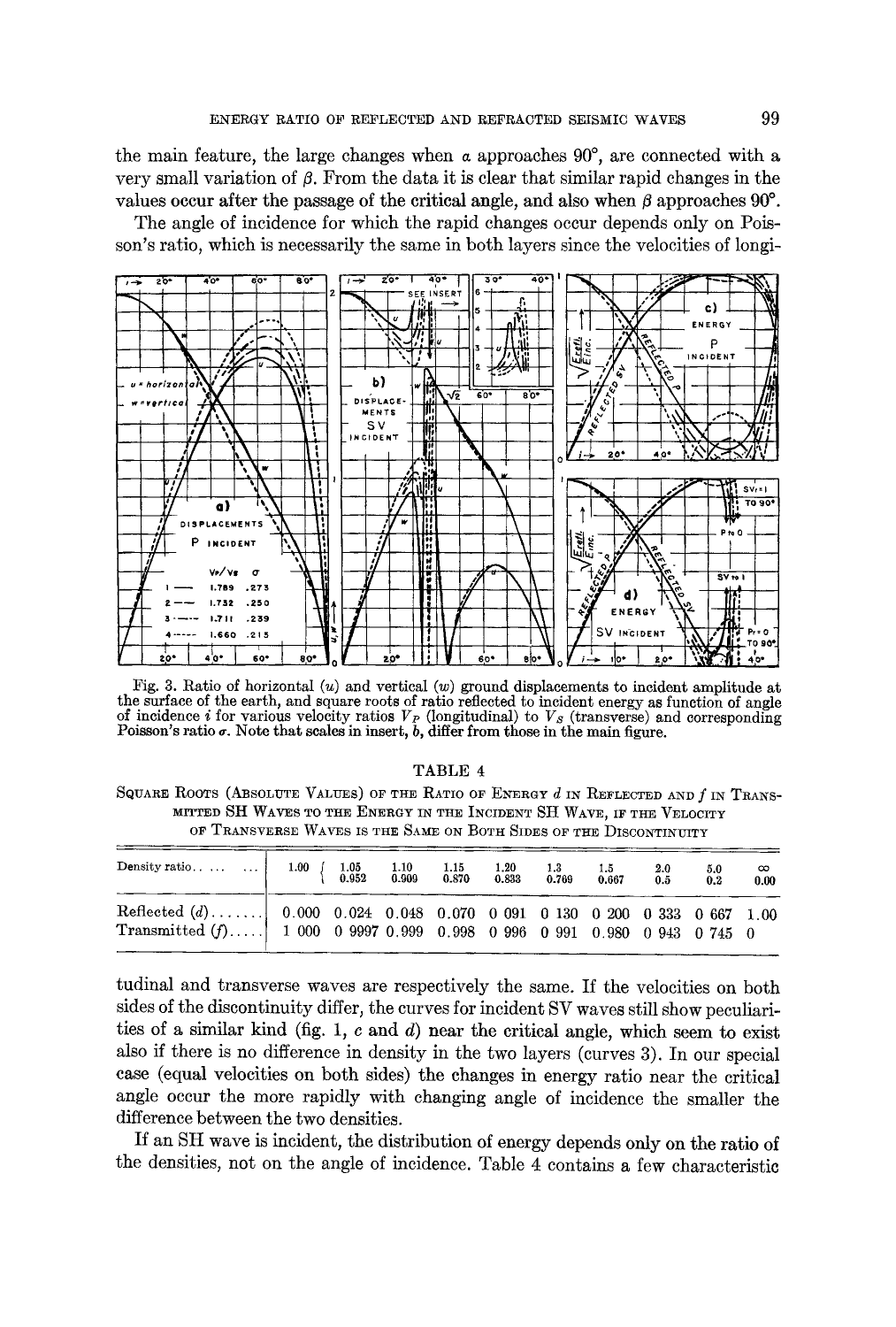the main feature, the large changes when  $\alpha$  approaches  $90^{\circ}$ , are connected with a very small variation of  $\beta$ . From the data it is clear that similar rapid changes in the values occur after the passage of the critical angle, and also when  $\beta$  approaches 90 $^{\circ}$ .

The angle of incidence for which the rapid changes occur depends only on Poisson's ratio, which is necessarily the same in both layers since the velocities of longi-



Fig. 3. Ratio of horizontal  $(u)$  and vertical  $(w)$  ground displacements to incident amplitude at the surface of the earth, and square roots of ratio reflected to incident energy as function of angle of incidence *i* for various velocity ratios  $V_P$  (longitudinal) to  $V_S$  (transverse) and corresponding Poisson's ratio  $\sigma$ . Note that scales in insert,  $b$ , differ from those in the main figure.

#### TABLE **<sup>4</sup>**

SQUARE ROOTS (ABSOLUTE VALUES) OF THE RATIO OF ENERGY  $d$  IN REFLECTED AND  $f$  IN TRANS-MITTED SH WAVES TO THE ENERGY IN THE INCIDENT SH WAVE, IF THE VELOCITY OF TRANSVERSE WAVES IS THE SAME ON BOTH SIDES OF THE DISCONTINUITY

| Density ratio    1.00 $\begin{cases} 1.05 & 1.10 & 1.15 & 1.20 & 1.3 \\ 0.952 & 0.909 & 0.870 & 0.833 & 0.769 \end{cases}$                               |  |  |  | $\begin{array}{c} 1.5\ \textbf{0.667} \end{array}$ | $\begin{array}{c} 2.0\ 0.5 \end{array}$ | $\begin{array}{c} 5.0 \ 0.2 \end{array}$ | $\infty$<br>0.00 |
|----------------------------------------------------------------------------------------------------------------------------------------------------------|--|--|--|----------------------------------------------------|-----------------------------------------|------------------------------------------|------------------|
| Reflected $(d)$ 0.000 0.024 0.048 0.070 0.091 0.130 0.200 0.333 0.667 1.00<br>Transmitted $(f)$ 1 000 0 9997 0.999 0.998 0 996 0 991 0.980 0 943 0 745 0 |  |  |  |                                                    |                                         |                                          |                  |

tudinal and transverse waves are respectively the same. If the velocities on both sides of the discontinuity differ, the curves for incident SV waves still show peculiarities of a similar kind (fig. 1, c and d) near the critical angle, which seem to exist also if there is no difference in density in the two layers (curves 3). In our special case (equal velocities on both sides) the changes in energy ratio near the critical angle occur the more rapidly with changing angle of incidence the smaller the difference between the two densities.

If an SH wave is incident, the distribution of energy depends only on the ratio of the densities, not on the angle of incidence. Table 4 contains a few characteristic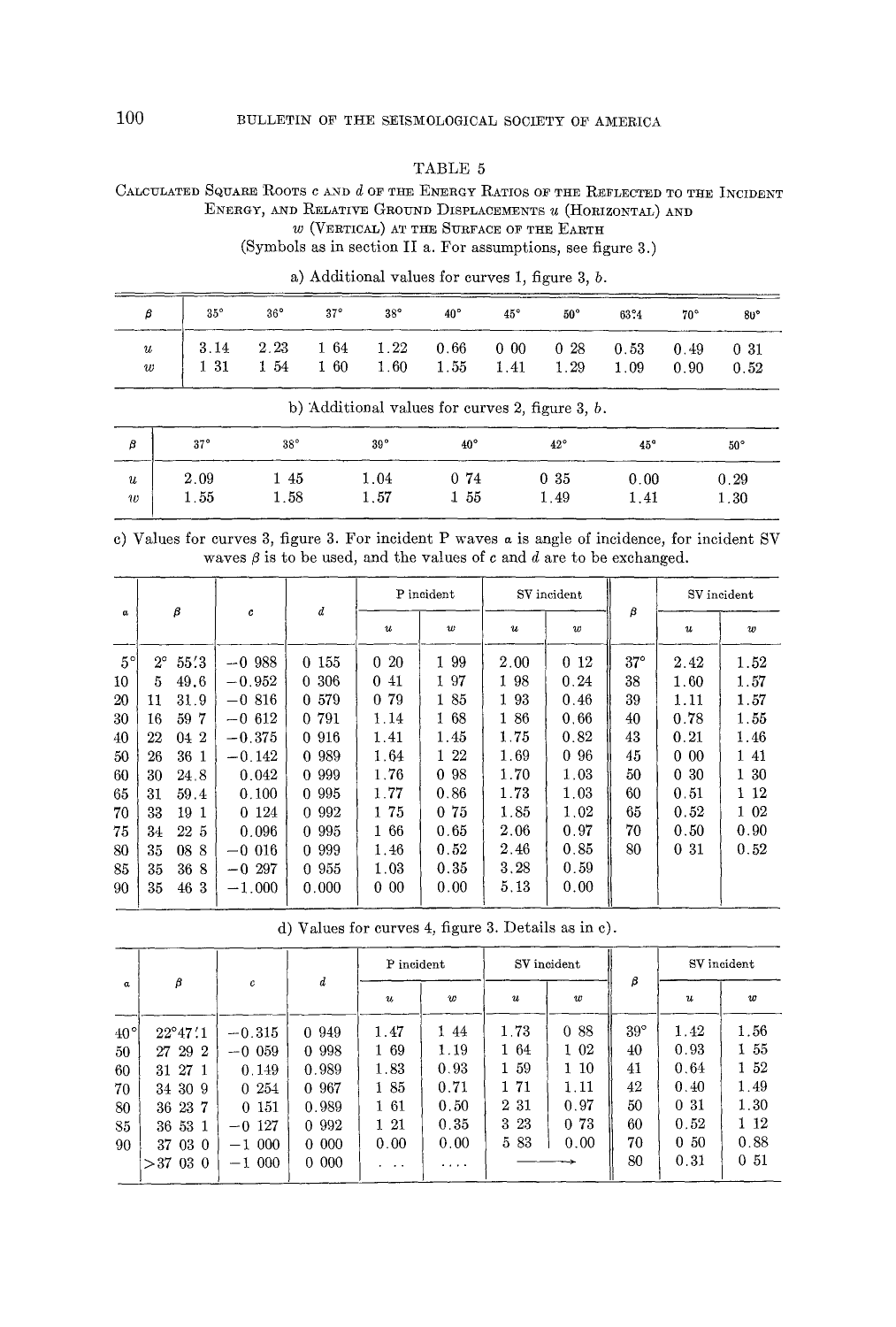### TABLE 5

# CALCULATED SQUARE ROOTS C AND d OF THE ENERGY RATIOS OF THE REFLECTED TO THE INCIDENT ENERGY, AND RELATIVE GROUND DISPLACEMENTS u (HORIZONTAL) AND

 $w$  (VERTICAL) AT THE SURFACE OF THE EARTH

(Symbols as in section II a. For assumptions, see figure 3.)

| $\beta$ 35° 36° 37° 38° 40° 45° 50° 63°4 70° 80°                                                                                                                                               |  |  |  |  |  |
|------------------------------------------------------------------------------------------------------------------------------------------------------------------------------------------------|--|--|--|--|--|
| $\begin{array}{c cccccccccccc} u & 3.14 & 2.23 & 1.64 & 1.22 & 0.66 & 0.00 & 0.28 & 0.53 & 0.49 & 0.31 \\ w & 1.31 & 1.54 & 1.60 & 1.60 & 1.55 & 1.41 & 1.29 & 1.09 & 0.90 & 0.52 \end{array}$ |  |  |  |  |  |

a) Additional values for curves 1, figure 3,  $b$ .

|                                      | b) Additional values for curves 2, figure 3, $b$ . |             |                      |                 |              |              |              |  |  |  |  |  |
|--------------------------------------|----------------------------------------------------|-------------|----------------------|-----------------|--------------|--------------|--------------|--|--|--|--|--|
| В                                    | $37^\circ$                                         | $38^\circ$  | 39°                  | $40^{\circ}$    | $42^{\circ}$ | 45°          | $50^{\circ}$ |  |  |  |  |  |
| $\boldsymbol{u}$<br>$\imath\upsilon$ | 2.09<br>$1.55\,$                                   | -45<br>1.58 | $1.04\,$<br>$1.57\,$ | 0.74<br>$1\,55$ | 0.35<br>1.49 | 0.00<br>1.41 | 0.29<br>1.30 |  |  |  |  |  |

c) Values for curves 3, figure 3. For incident P waves a is angle of incidence, for incident SV waves  $\beta$  is to be used, and the values of c and d are to be exchanged.

|             | β<br>$\alpha$ |      |          |           | P incident       |                      | SV incident      |                  |            | SV incident      |                  |
|-------------|---------------|------|----------|-----------|------------------|----------------------|------------------|------------------|------------|------------------|------------------|
|             |               |      | c        | d         | $\boldsymbol{u}$ | $\boldsymbol{w}$     | $\boldsymbol{u}$ | $\boldsymbol{w}$ | β          | $\boldsymbol{u}$ | $\boldsymbol{w}$ |
| $5^{\circ}$ | $2^{\circ}$   | 55.3 | $-0.988$ | 0 155     | 020              | 1 9 9                | 2.00             | $0\;12$          | $37^\circ$ | 2.42             | 1.52             |
| 10          | 5             | 49.6 | $-0.952$ | 0,306     | 0.41             | 1 97                 | 1 98             | 0.24             | 38         | 1.60             | 1.57             |
| 20          | 11            | 31.9 | $-0.816$ | 0 579     | 0 79             | 1 85                 | 193              | 0.46             | 39         | 1.11             | 1.57             |
| 30          | 16            | 59 7 | $-0.612$ | 0 791     | 1.14             | 1 68                 | 186              | 0.66             | 40         | 0.78             | 1.55             |
| 40          | $^{22}$       | 04 2 | $-0.375$ | 0 916     | 1.41             | 1.45                 | 1.75             | 0.82             | 43         | 0.21             | 1.46             |
| 50          | 26            | 36 1 | $-0.142$ | 0 989     | 1.64             | 1 22                 | 1.69             | 096              | 45         | 000              | 1 41             |
| 60          | 30            | 24.8 | 0.042    | 0 9 9 9 9 | 1.76             | 98<br>$\overline{0}$ | 1.70             | 1.03             | 50         | 030              | 1 30             |
| 65          | 31            | 59.4 | 0.100    | 0 9 9 5   | 1.77             | 0.86                 | 1.73             | 1.03             | 60         | 0.51             | 1 12             |
| 70          | 33            | 19 1 | 0 1 2 4  | 0 9 9 2   | 1 75             | 0 75                 | 1.85             | 1.02             | 65         | 0.52             | 1 02             |
| 75          | 34            | 22 5 | 0.096    | 0 9 9 5   | 166              | 0.65                 | 2.06             | 0.97             | 70         | 0.50             | 0.90             |
| 80          | 35            | 08 8 | $-0.016$ | 0 9 9 9   | 1.46             | 0.52                 | 2.46             | 0.85             | 80         | 031              | 0.52             |
| 85          | 35            | 368  | $-0.297$ | 0.955     | 1.03             | 0.35                 | 3.28             | 0.59             |            |                  |                  |
| 90          | 35            | 46 3 | $-1.000$ | 0.000     | 00<br>0.         | 0.00                 | 5, 13            | 0.00             |            |                  |                  |
|             |               |      |          |           |                  |                      |                  |                  |            |                  |                  |

d) Values for curves 4, figure 3. Details as in c).

|                                             |                                                                          |                                                            |                                                        | P incident                                     |                                             |                                                 | SV incident                                  |                                          |                                                         | SV incident                                     |
|---------------------------------------------|--------------------------------------------------------------------------|------------------------------------------------------------|--------------------------------------------------------|------------------------------------------------|---------------------------------------------|-------------------------------------------------|----------------------------------------------|------------------------------------------|---------------------------------------------------------|-------------------------------------------------|
| $\alpha$                                    | β                                                                        | c                                                          | d                                                      | $\boldsymbol{u}$                               | $\boldsymbol{w}$                            | $\boldsymbol{u}$                                | w                                            | β                                        | $\boldsymbol{u}$                                        | $\boldsymbol{w}$                                |
| $40^{\circ}$<br>50<br>60<br>70<br>-80<br>85 | $22^{\circ}47'.1$<br>27 29 2<br>31 27 1<br>34 30 9<br>36 23 7<br>36 53 1 | $-0.315$<br>$-0.059$<br>0.149<br>0254<br>0 151<br>$-0.127$ | 0 949<br>0 9 9 8<br>0.989<br>0 967<br>0.989<br>0 9 9 2 | 1.47<br>1 69<br>1.83<br>185<br>1 61<br>$1\,21$ | 144<br>1.19<br>0.93<br>0.71<br>0.50<br>0.35 | 1.73<br>164<br>59<br>1.<br>1 71<br>2 31<br>3 23 | 0.88<br>1 02<br>1 10<br>1.11<br>0.97<br>0 73 | $39^\circ$<br>40<br>41<br>42<br>50<br>60 | 1.42<br>0.93<br>0.64<br>0.40<br>0 <sub>31</sub><br>0.52 | 1.56<br>1 55<br>$1\,52$<br>1.49<br>1.30<br>1 12 |
| 90                                          | 37 03 0<br>03 0<br>>37                                                   | $-1000$<br>$-1000$                                         | $0\ 000$<br>$0\,000$                                   | 0.00<br>.                                      | 0.00<br>.                                   | 5 83                                            | 0.00                                         | 70<br>80                                 | 050<br>0.31                                             | 0.88<br>0 <sub>51</sub>                         |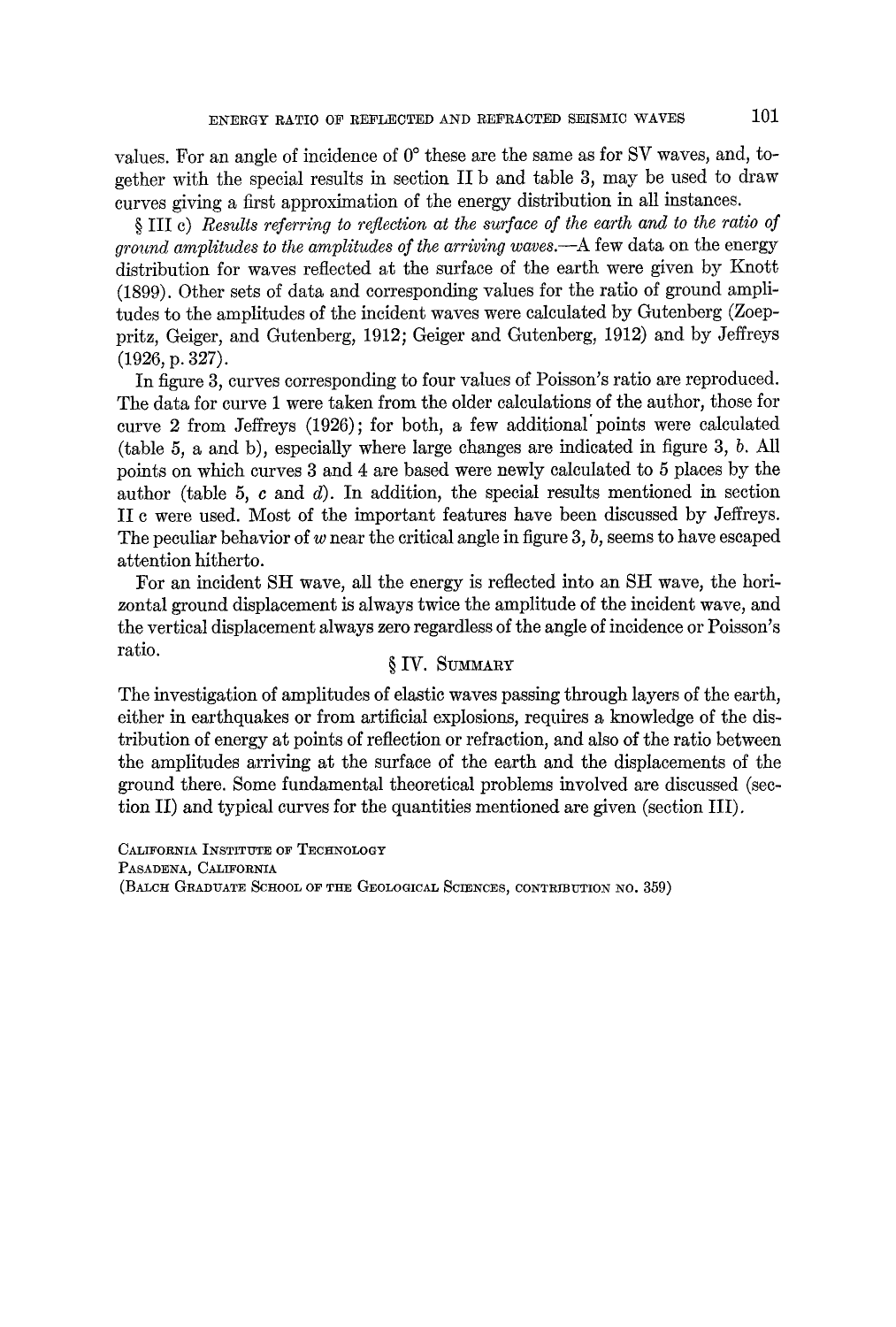values. For an angle of incidence of  $0^{\circ}$  these are the same as for SV waves, and, together with the special results in section IIb and table 3, may be used to draw curves giving a first approximation of the energy distribution in all instances.

§III e) *Results referring to reflection at the surface of the earth and to the ratio of ground amplitudes to the amplitudes of the arriving waves.--A* few data on the energy distribution for waves reflected at the surface of the earth were given by Knott. (1899). Other sets of data and corresponding values for the ratio of ground amplitudes to the amplitudes of the incident waves were calculated by Gutenberg (Zoeppritz, Geiger, and Gutenberg, 1912; Geiger and Gutenberg, 1912) and by Jeffreys (1926, p. 327).

In figure 3, curves corresponding to four values of Poisson's ratio are reproduced. The data for curve 1 were taken from the older calculations of the author, those for curve 2 from Jeffreys (1926); for both, a few additional'points were calculated (table 5, a and b), especially where large changes are indicated in figure 3, b. All points on which curves 3 and 4 are based were newly calculated to 5 places by the author (table 5, c and  $d$ ). In addition, the special results mentioned in section II c were used. Most of the important features have been discussed by Jeffreys. The peculiar behavior of w near the critical angle in figure  $3, b$ , seems to have escaped attention hitherto.

For an incident SH wave, all the energy is reflected into an SH wave, the horizontal ground displacement is always twice the amplitude of the incident wave, and the vertical displacement always zero regardless of the angle of incidence or Poisson's ratio. **§** IV. SUMMARY

The investigation of amplitudes of elastic waves passing through layers of the earth, either in earthquakes or from artificial explosions, requires a knowledge of the distribution of energy at points of reflection or refraction, and also of the ratio between the amplitudes arriving at the surface of the earth and the displacements of the ground there. Some fundamental theoretical problems involved are discussed (section II) and typical curves for the quantities mentioned are given (section III).

CALIFORNIA INSTITUTE OF TECHNOLOGY PASADENA, CALIFORNIA (BALCH GRADUATE SCHOOL OF THE GEOLOGICAL SCIENCES, CONTRIBUTION NO. 359)